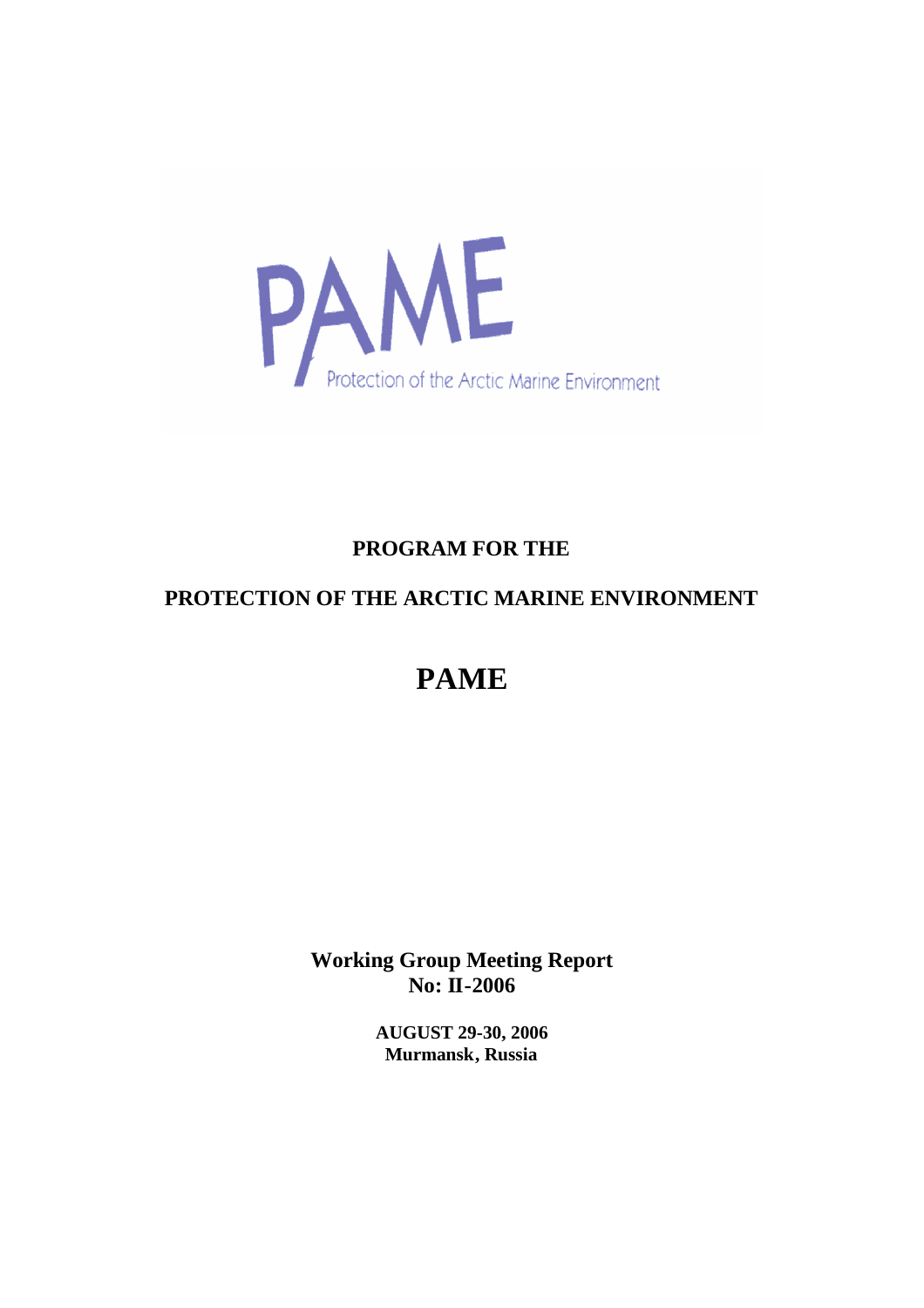

# **PROGRAM FOR THE**

# **PROTECTION OF THE ARCTIC MARINE ENVIRONMENT**

# **PAME**

**Working Group Meeting Report No: II-2006**

> **AUGUST 29-30, 2006 Murmansk, Russia**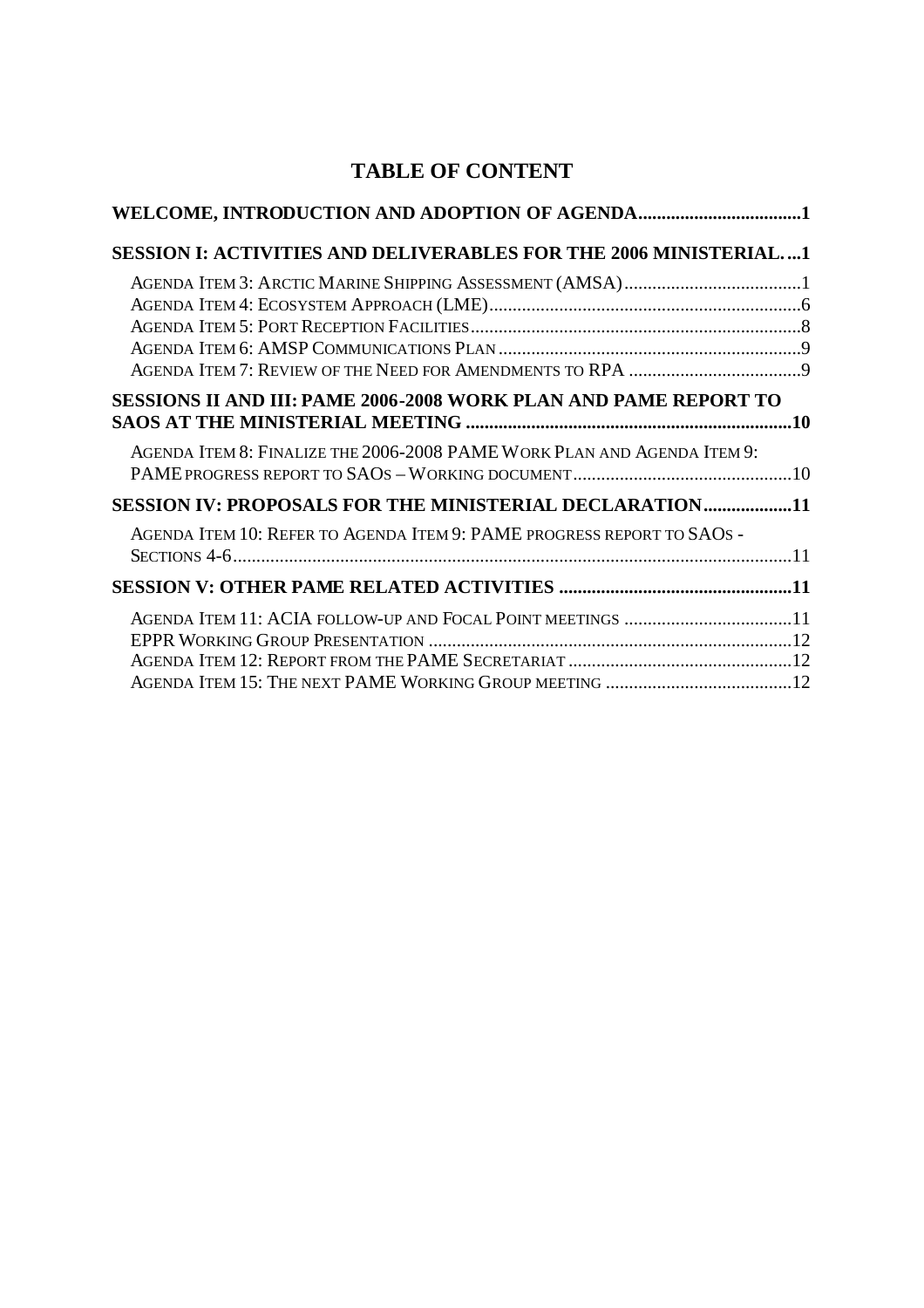# **TABLE OF CONTENT**

| WELCOME, INTRODUCTION AND ADOPTION OF AGENDA1                           |  |
|-------------------------------------------------------------------------|--|
| <b>SESSION I: ACTIVITIES AND DELIVERABLES FOR THE 2006 MINISTERIAL1</b> |  |
|                                                                         |  |
|                                                                         |  |
| <b>SESSIONS II AND III: PAME 2006-2008 WORK PLAN AND PAME REPORT TO</b> |  |
| AGENDA ITEM 8: FINALIZE THE 2006-2008 PAME WORK PLAN AND AGENDA ITEM 9: |  |
| SESSION IV: PROPOSALS FOR THE MINISTERIAL DECLARATION11                 |  |
| AGENDA ITEM 10: REFER TO AGENDA ITEM 9: PAME PROGRESS REPORT TO SAOS -  |  |
|                                                                         |  |
| AGENDA ITEM 11: ACIA FOLLOW-UP AND FOCAL POINT MEETINGS 11              |  |
|                                                                         |  |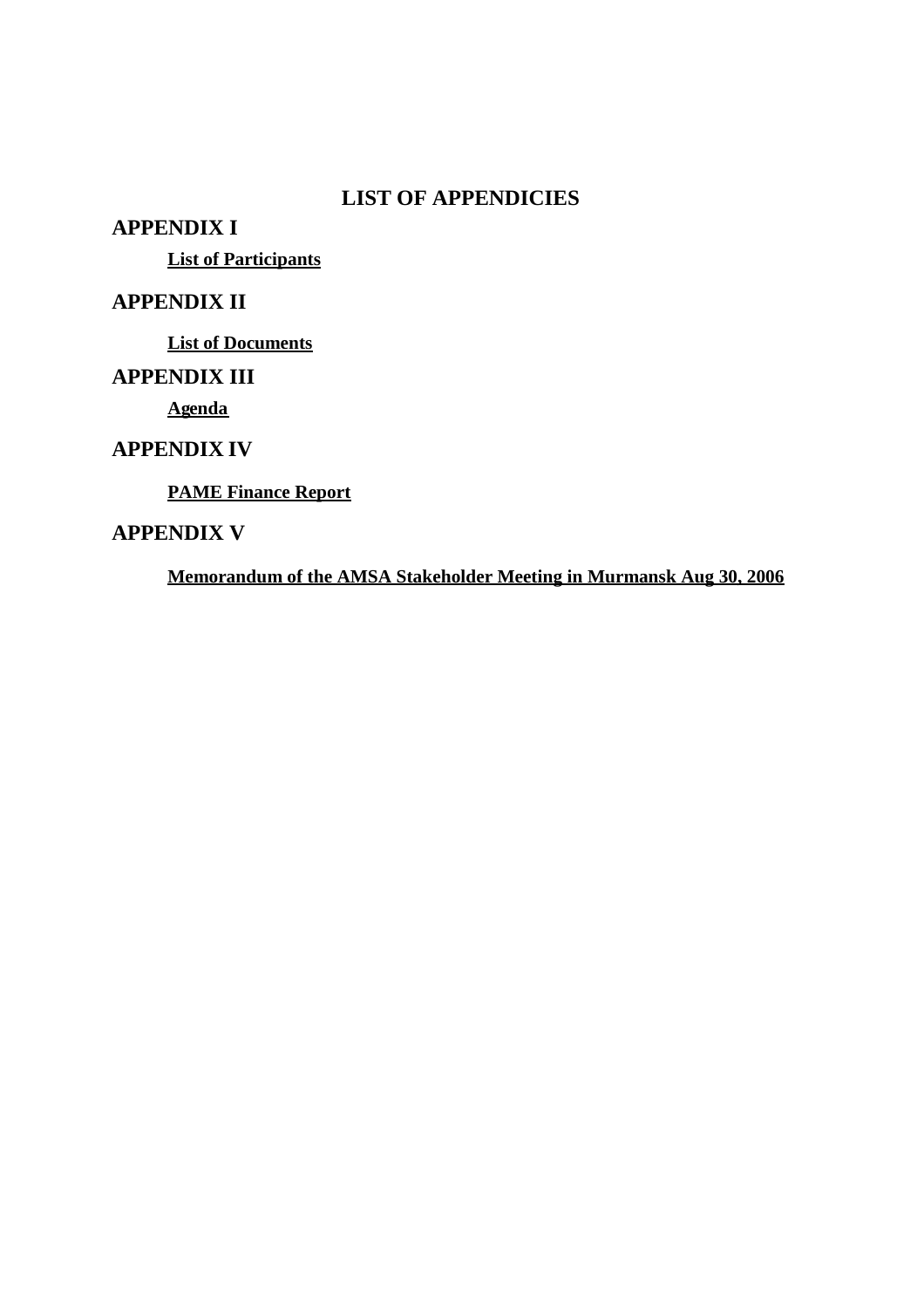### **LIST OF APPENDICIES**

**APPENDIX I**

**List of Participants**

### **APPENDIX II**

**List of Documents**

### **APPENDIX III**

**Agenda**

### **APPENDIX IV**

**PAME Finance Report**

### **APPENDIX V**

**Memorandum of the AMSA Stakeholder Meeting in Murmansk Aug 30, 2006**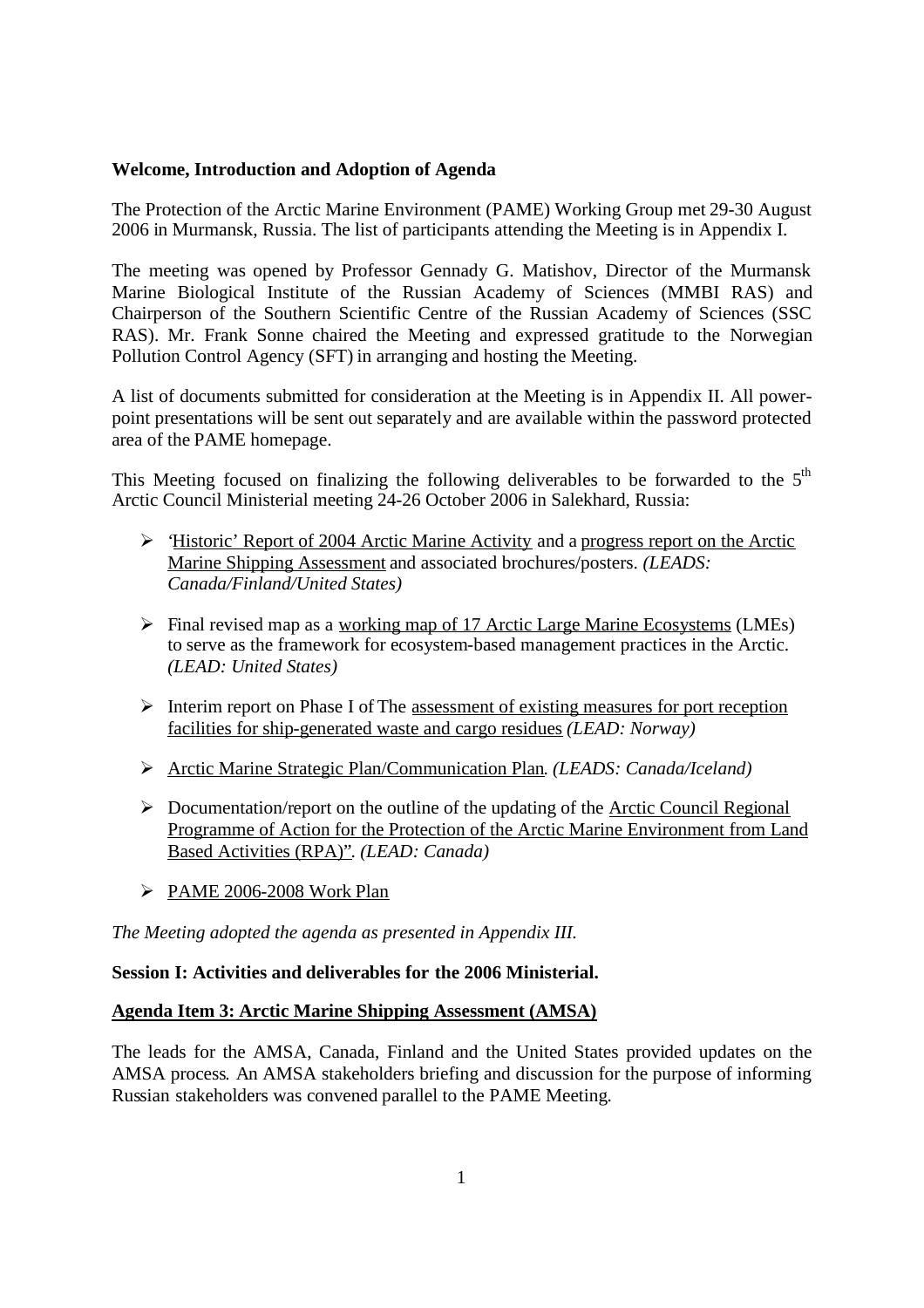#### <span id="page-3-0"></span>**Welcome, Introduction and Adoption of Agenda**

The Protection of the Arctic Marine Environment (PAME) Working Group met 29-30 August 2006 in Murmansk, Russia. The list of participants attending the Meeting is in Appendix I.

The meeting was opened by Professor Gennady G. Matishov, Director of the Murmansk Marine Biological Institute of the Russian Academy of Sciences (MMBI RAS) and Chairperson of the Southern Scientific Centre of the Russian Academy of Sciences (SSC RAS). Mr. Frank Sonne chaired the Meeting and expressed gratitude to the Norwegian Pollution Control Agency (SFT) in arranging and hosting the Meeting.

A list of documents submitted for consideration at the Meeting is in Appendix II. All powerpoint presentations will be sent out separately and are available within the password protected area of the PAME homepage.

This Meeting focused on finalizing the following deliverables to be forwarded to the  $5<sup>th</sup>$ Arctic Council Ministerial meeting 24-26 October 2006 in Salekhard, Russia:

- $\triangleright$  'Historic' Report of 2004 Arctic Marine Activity and a progress report on the Arctic Marine Shipping Assessment and associated brochures/posters. *(LEADS: Canada/Finland/United States)*
- $\triangleright$  Final revised map as a working map of 17 Arctic Large Marine Ecosystems (LMEs) to serve as the framework for ecosystem-based management practices in the Arctic. *(LEAD: United States)*
- $\triangleright$  Interim report on Phase I of The <u>assessment of existing measures for port reception</u> facilities for ship-generated waste and cargo residues *(LEAD: Norway)*
- Arctic Marine Strategic Plan/Communication Plan. *(LEADS: Canada/Iceland)*
- $\triangleright$  Documentation/report on the outline of the updating of the Arctic Council Regional Programme of Action for the Protection of the Arctic Marine Environment from Land Based Activities (RPA)". *(LEAD: Canada)*
- $\triangleright$  PAME 2006-2008 Work Plan

*The Meeting adopted the agenda as presented in Appendix III.*

#### <span id="page-3-1"></span>**Session I: Activities and deliverables for the 2006 Ministerial.**

#### <span id="page-3-2"></span>**Agenda Item 3: Arctic Marine Shipping Assessment (AMSA)**

The leads for the AMSA, Canada, Finland and the United States provided updates on the AMSA process. An AMSA stakeholders briefing and discussion for the purpose of informing Russian stakeholders was convened parallel to the PAME Meeting.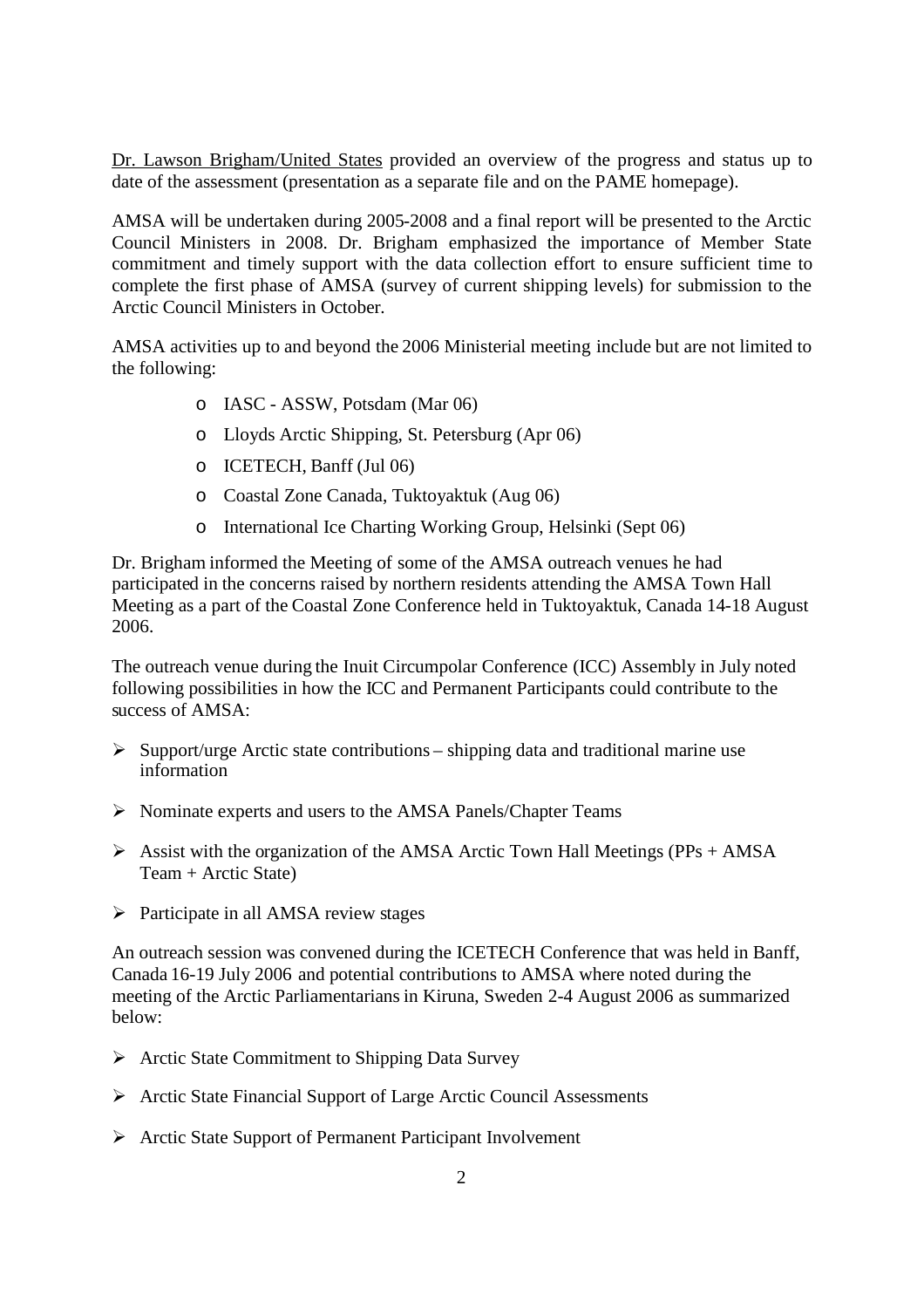Dr. Lawson Brigham/United States provided an overview of the progress and status up to date of the assessment (presentation as a separate file and on the PAME homepage).

AMSA will be undertaken during 2005-2008 and a final report will be presented to the Arctic Council Ministers in 2008. Dr. Brigham emphasized the importance of Member State commitment and timely support with the data collection effort to ensure sufficient time to complete the first phase of AMSA (survey of current shipping levels) for submission to the Arctic Council Ministers in October.

AMSA activities up to and beyond the 2006 Ministerial meeting include but are not limited to the following:

- o IASC ASSW, Potsdam (Mar 06)
- o Lloyds Arctic Shipping, St. Petersburg (Apr 06)
- o ICETECH, Banff (Jul 06)
- o Coastal Zone Canada, Tuktoyaktuk (Aug 06)
- o International Ice Charting Working Group, Helsinki (Sept 06)

Dr. Brigham informed the Meeting of some of the AMSA outreach venues he had participated in the concerns raised by northern residents attending the AMSA Town Hall Meeting as a part of the Coastal Zone Conference held in Tuktoyaktuk, Canada 14-18 August 2006.

The outreach venue during the Inuit Circumpolar Conference (ICC) Assembly in July noted following possibilities in how the ICC and Permanent Participants could contribute to the success of AMSA:

- $\triangleright$  Support/urge Arctic state contributions shipping data and traditional marine use information
- $\triangleright$  Nominate experts and users to the AMSA Panels/Chapter Teams
- $\triangleright$  Assist with the organization of the AMSA Arctic Town Hall Meetings (PPs + AMSA Team + Arctic State)
- $\triangleright$  Participate in all AMSA review stages

An outreach session was convened during the ICETECH Conference that was held in Banff, Canada 16-19 July 2006 and potential contributions to AMSA where noted during the meeting of the Arctic Parliamentarians in Kiruna, Sweden 2-4 August 2006 as summarized below:

- $\triangleright$  Arctic State Commitment to Shipping Data Survey
- Arctic State Financial Support of Large Arctic Council Assessments
- Arctic State Support of Permanent Participant Involvement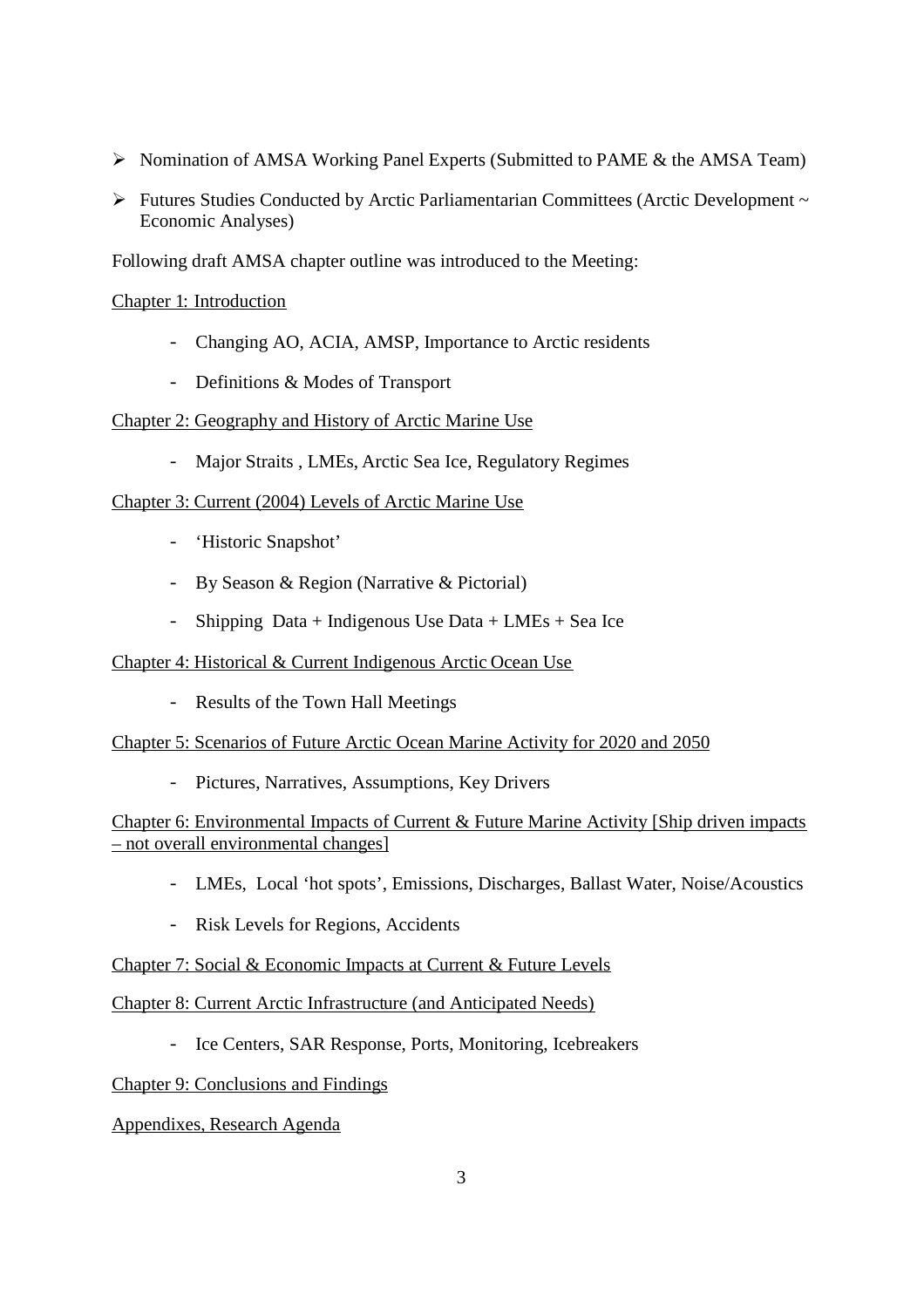- $\triangleright$  Nomination of AMSA Working Panel Experts (Submitted to PAME & the AMSA Team)
- $\triangleright$  Futures Studies Conducted by Arctic Parliamentarian Committees (Arctic Development  $\sim$ Economic Analyses)

Following draft AMSA chapter outline was introduced to the Meeting:

#### Chapter 1: Introduction

- Changing AO, ACIA, AMSP, Importance to Arctic residents
- Definitions & Modes of Transport

#### Chapter 2: Geography and History of Arctic Marine Use

- Major Straits , LMEs, Arctic Sea Ice, Regulatory Regimes

#### Chapter 3: Current (2004) Levels of Arctic Marine Use

- 'Historic Snapshot'
- By Season & Region (Narrative & Pictorial)
- Shipping Data + Indigenous Use Data + LMEs + Sea Ice

#### Chapter 4: Historical & Current Indigenous Arctic Ocean Use

- Results of the Town Hall Meetings

#### Chapter 5: Scenarios of Future Arctic Ocean Marine Activity for 2020 and 2050

- Pictures, Narratives, Assumptions, Key Drivers

#### Chapter 6: Environmental Impacts of Current & Future Marine Activity [Ship driven impacts – not overall environmental changes]

- LMEs, Local 'hot spots', Emissions, Discharges, Ballast Water, Noise/Acoustics
- Risk Levels for Regions, Accidents

#### Chapter 7: Social & Economic Impacts at Current & Future Levels

#### Chapter 8: Current Arctic Infrastructure (and Anticipated Needs)

- Ice Centers, SAR Response, Ports, Monitoring, Icebreakers

#### Chapter 9: Conclusions and Findings

#### Appendixes, Research Agenda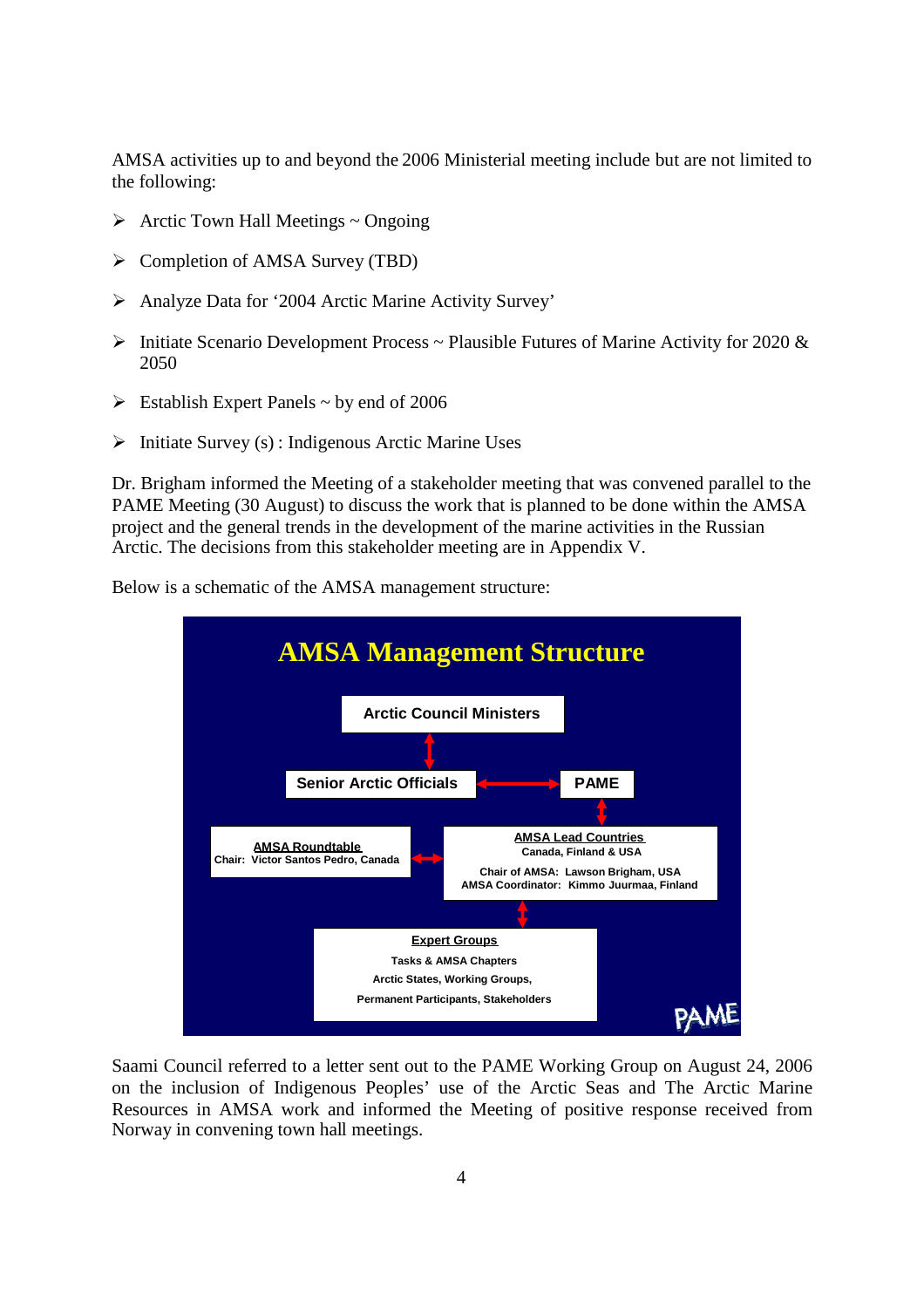AMSA activities up to and beyond the 2006 Ministerial meeting include but are not limited to the following:

- $\triangleright$  Arctic Town Hall Meetings ~ Ongoing
- $\triangleright$  Completion of AMSA Survey (TBD)
- Analyze Data for '2004 Arctic Marine Activity Survey'
- $\triangleright$  Initiate Scenario Development Process ~ Plausible Futures of Marine Activity for 2020 & 2050
- $\triangleright$  Establish Expert Panels ~ by end of 2006
- $\triangleright$  Initiate Survey (s) : Indigenous Arctic Marine Uses

Dr. Brigham informed the Meeting of a stakeholder meeting that was convened parallel to the PAME Meeting (30 August) to discuss the work that is planned to be done within the AMSA project and the general trends in the development of the marine activities in the Russian Arctic. The decisions from this stakeholder meeting are in Appendix V.



Below is a schematic of the AMSA management structure:

Saami Council referred to a letter sent out to the PAME Working Group on August 24, 2006 on the inclusion of Indigenous Peoples' use of the Arctic Seas and The Arctic Marine Resources in AMSA work and informed the Meeting of positive response received from Norway in convening town hall meetings.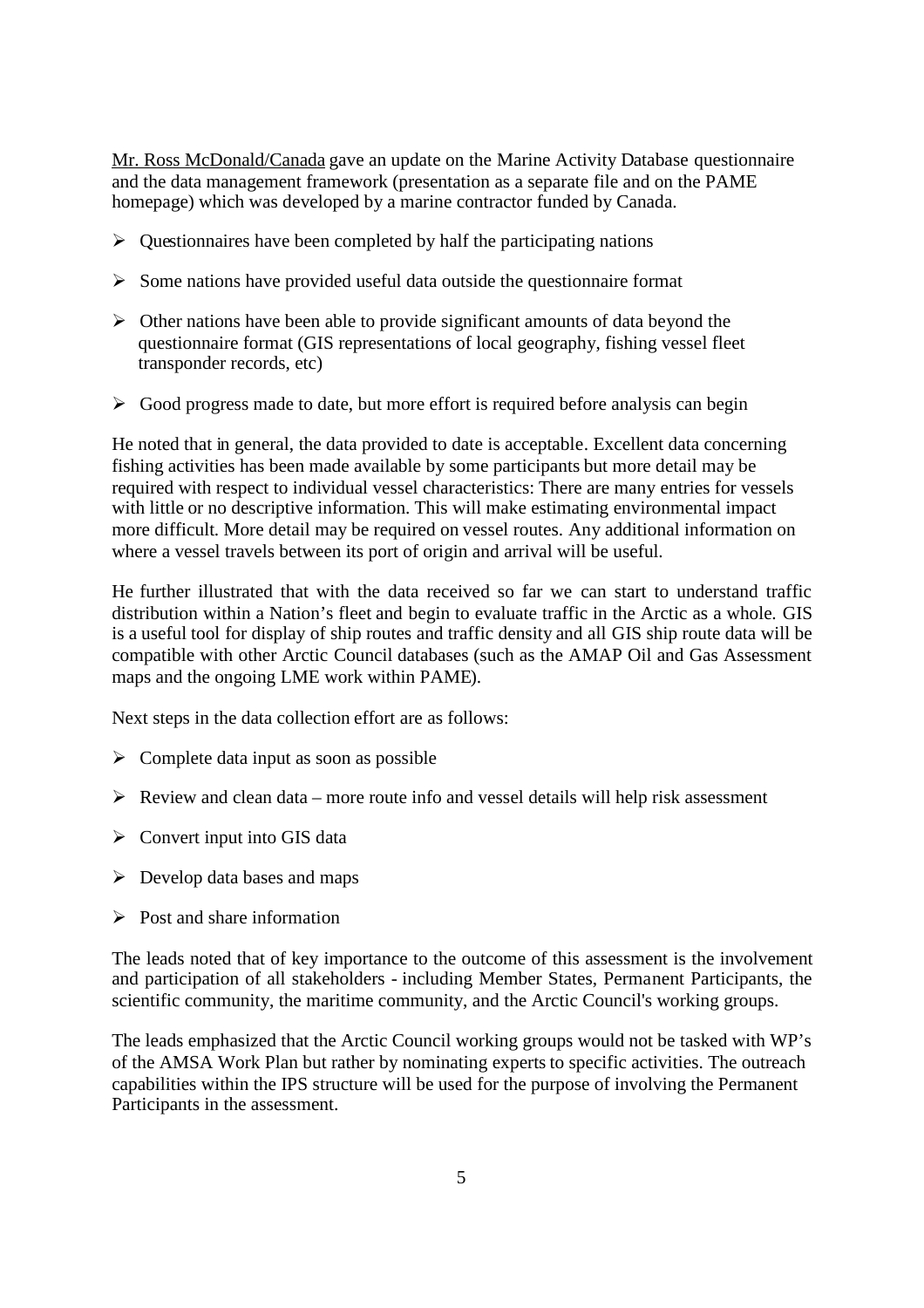Mr. Ross McDonald/Canada gave an update on the Marine Activity Database questionnaire and the data management framework (presentation as a separate file and on the PAME homepage) which was developed by a marine contractor funded by Canada.

- $\triangleright$  Questionnaires have been completed by half the participating nations
- $\triangleright$  Some nations have provided useful data outside the questionnaire format
- $\triangleright$  Other nations have been able to provide significant amounts of data beyond the questionnaire format (GIS representations of local geography, fishing vessel fleet transponder records, etc)
- $\triangleright$  Good progress made to date, but more effort is required before analysis can begin

He noted that in general, the data provided to date is acceptable. Excellent data concerning fishing activities has been made available by some participants but more detail may be required with respect to individual vessel characteristics: There are many entries for vessels with little or no descriptive information. This will make estimating environmental impact more difficult. More detail may be required on vessel routes. Any additional information on where a vessel travels between its port of origin and arrival will be useful.

He further illustrated that with the data received so far we can start to understand traffic distribution within a Nation's fleet and begin to evaluate traffic in the Arctic as a whole. GIS is a useful tool for display of ship routes and traffic density and all GIS ship route data will be compatible with other Arctic Council databases (such as the AMAP Oil and Gas Assessment maps and the ongoing LME work within PAME).

Next steps in the data collection effort are as follows:

- $\triangleright$  Complete data input as soon as possible
- $\triangleright$  Review and clean data more route info and vessel details will help risk assessment
- $\triangleright$  Convert input into GIS data
- $\triangleright$  Develop data bases and maps
- $\triangleright$  Post and share information

The leads noted that of key importance to the outcome of this assessment is the involvement and participation of all stakeholders - including Member States, Permanent Participants, the scientific community, the maritime community, and the Arctic Council's working groups.

The leads emphasized that the Arctic Council working groups would not be tasked with WP's of the AMSA Work Plan but rather by nominating experts to specific activities. The outreach capabilities within the IPS structure will be used for the purpose of involving the Permanent Participants in the assessment.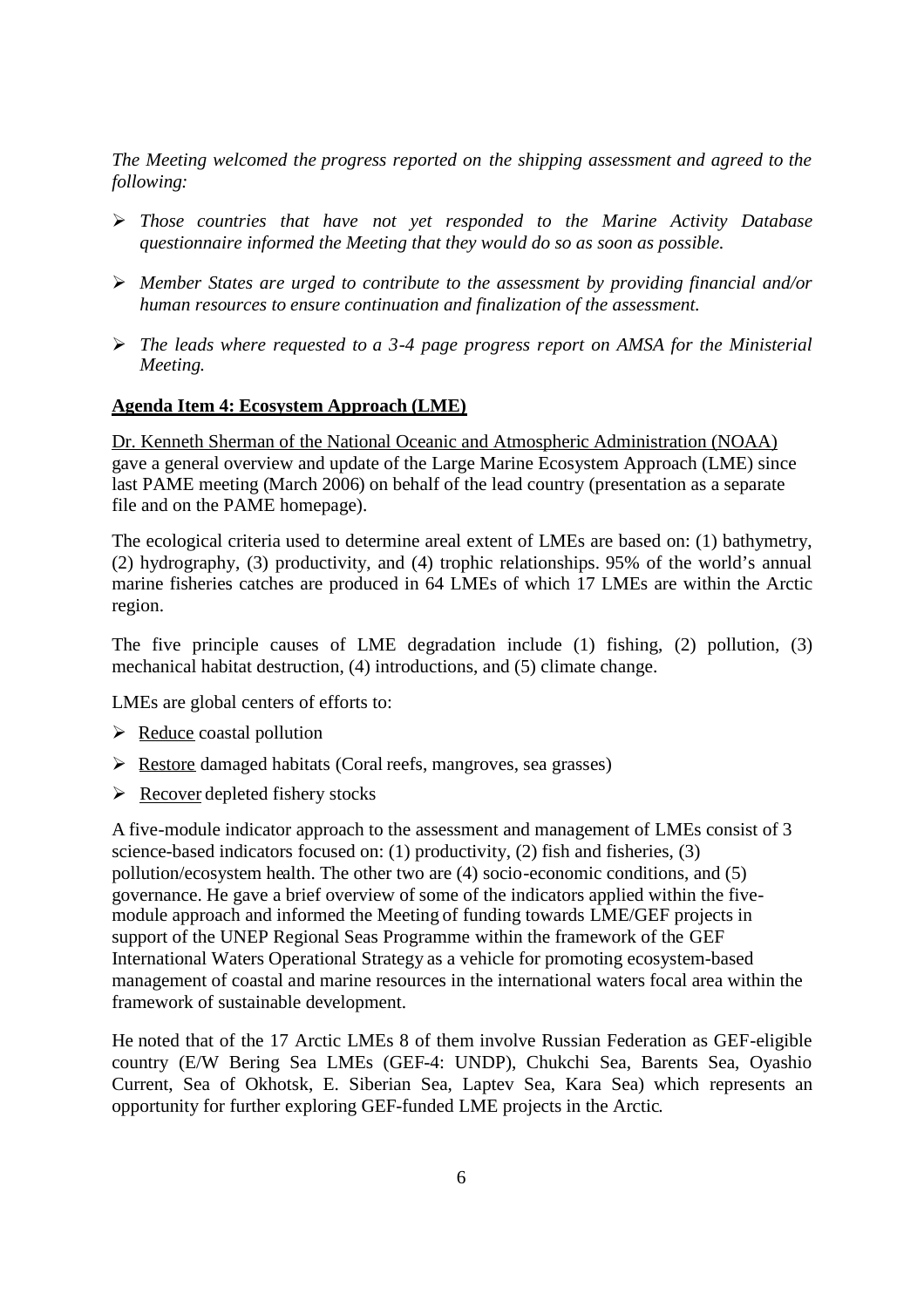*The Meeting welcomed the progress reported on the shipping assessment and agreed to the following:*

- *Those countries that have not yet responded to the Marine Activity Database questionnaire informed the Meeting that they would do so as soon as possible.*
- *Member States are urged to contribute to the assessment by providing financial and/or human resources to ensure continuation and finalization of the assessment.*
- *The leads where requested to a 3-4 page progress report on AMSA for the Ministerial Meeting.*

#### <span id="page-8-0"></span>**Agenda Item 4: Ecosystem Approach (LME)**

Dr. Kenneth Sherman of the National Oceanic and Atmospheric Administration (NOAA) gave a general overview and update of the Large Marine Ecosystem Approach (LME) since last PAME meeting (March 2006) on behalf of the lead country (presentation as a separate file and on the PAME homepage).

The ecological criteria used to determine areal extent of LMEs are based on: (1) bathymetry, (2) hydrography, (3) productivity, and (4) trophic relationships. 95% of the world's annual marine fisheries catches are produced in 64 LMEs of which 17 LMEs are within the Arctic region.

The five principle causes of LME degradation include (1) fishing, (2) pollution, (3) mechanical habitat destruction, (4) introductions, and (5) climate change.

LMEs are global centers of efforts to:

- $\triangleright$  Reduce coastal pollution
- $\triangleright$  Restore damaged habitats (Coral reefs, mangroves, sea grasses)
- $\triangleright$  Recover depleted fishery stocks

A five-module indicator approach to the assessment and management of LMEs consist of 3 science-based indicators focused on: (1) productivity, (2) fish and fisheries, (3) pollution/ecosystem health. The other two are (4) socio-economic conditions, and (5) governance. He gave a brief overview of some of the indicators applied within the fivemodule approach and informed the Meeting of funding towards LME/GEF projects in support of the UNEP Regional Seas Programme within the framework of the GEF International Waters Operational Strategy as a vehicle for promoting ecosystem-based management of coastal and marine resources in the international waters focal area within the framework of sustainable development.

He noted that of the 17 Arctic LMEs 8 of them involve Russian Federation as GEF-eligible country (E/W Bering Sea LMEs (GEF-4: UNDP), Chukchi Sea, Barents Sea, Oyashio Current, Sea of Okhotsk, E. Siberian Sea, Laptev Sea, Kara Sea) which represents an opportunity for further exploring GEF-funded LME projects in the Arctic.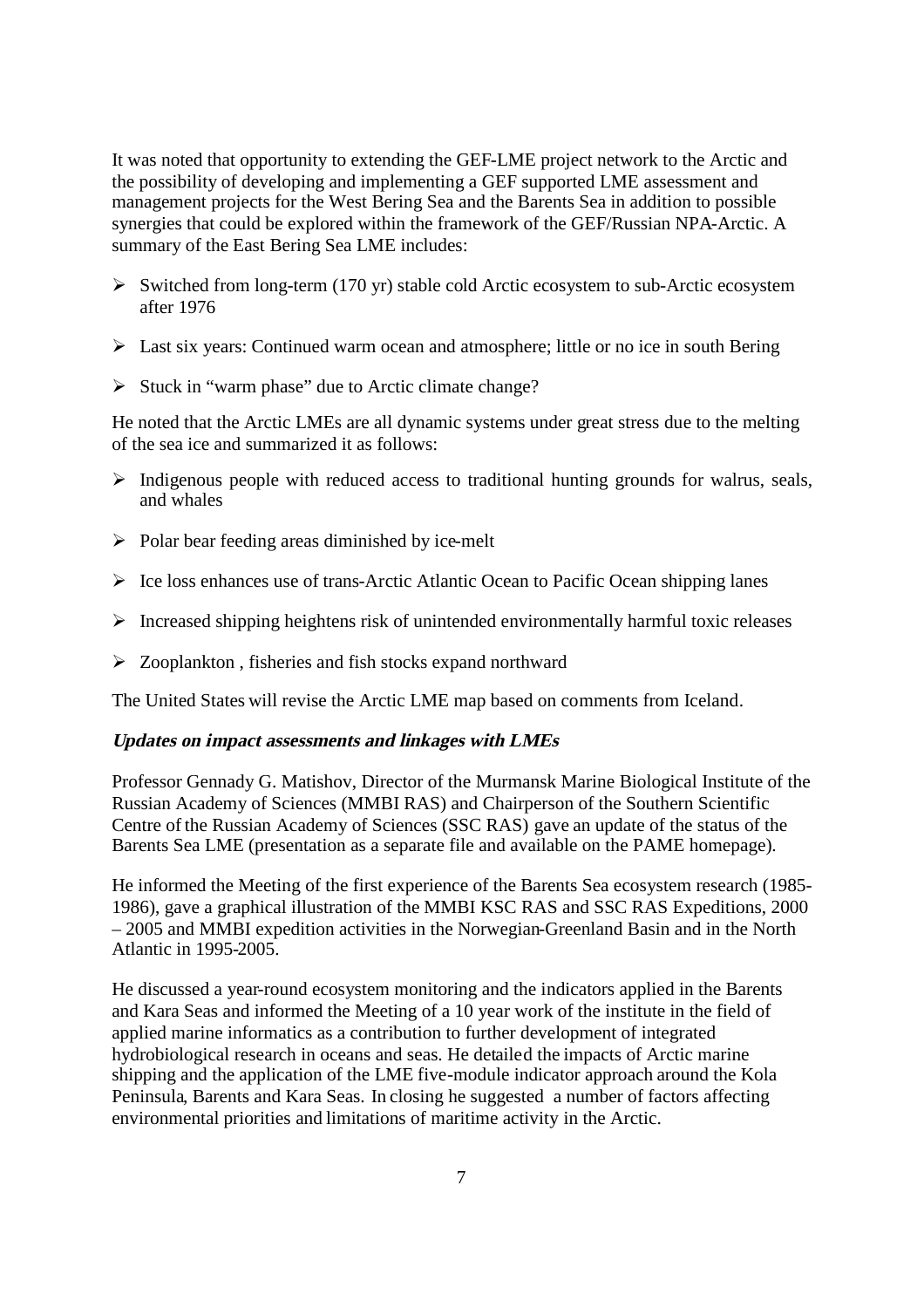It was noted that opportunity to extending the GEF-LME project network to the Arctic and the possibility of developing and implementing a GEF supported LME assessment and management projects for the West Bering Sea and the Barents Sea in addition to possible synergies that could be explored within the framework of the GEF/Russian NPA-Arctic. A summary of the East Bering Sea LME includes:

- $\triangleright$  Switched from long-term (170 yr) stable cold Arctic ecosystem to sub-Arctic ecosystem after 1976
- $\triangleright$  Last six years: Continued warm ocean and atmosphere; little or no ice in south Bering
- $\triangleright$  Stuck in "warm phase" due to Arctic climate change?

He noted that the Arctic LMEs are all dynamic systems under great stress due to the melting of the sea ice and summarized it as follows:

- $\triangleright$  Indigenous people with reduced access to traditional hunting grounds for walrus, seals, and whales
- $\triangleright$  Polar bear feeding areas diminished by ice-melt
- $\triangleright$  Ice loss enhances use of trans-Arctic Atlantic Ocean to Pacific Ocean shipping lanes
- $\triangleright$  Increased shipping heightens risk of unintended environmentally harmful toxic releases
- > Zooplankton, fisheries and fish stocks expand northward

The United States will revise the Arctic LME map based on comments from Iceland.

#### **Updates on impact assessments and linkages with LMEs**

Professor Gennady G. Matishov, Director of the Murmansk Marine Biological Institute of the Russian Academy of Sciences (MMBI RAS) and Chairperson of the Southern Scientific Centre of the Russian Academy of Sciences (SSC RAS) gave an update of the status of the Barents Sea LME (presentation as a separate file and available on the PAME homepage).

He informed the Meeting of the first experience of the Barents Sea ecosystem research (1985- 1986), gave a graphical illustration of the MMBI KSC RAS and SSC RAS Expeditions, 2000 – 2005 and MMBI expedition activities in the Norwegian-Greenland Basin and in the North Atlantic in 1995-2005.

He discussed a year-round ecosystem monitoring and the indicators applied in the Barents and Kara Seas and informed the Meeting of a 10 year work of the institute in the field of applied marine informatics as a contribution to further development of integrated hydrobiological research in oceans and seas. He detailed the impacts of Arctic marine shipping and the application of the LME five-module indicator approach around the Kola Peninsula, Barents and Kara Seas. In closing he suggested a number of factors affecting environmental priorities and limitations of maritime activity in the Arctic.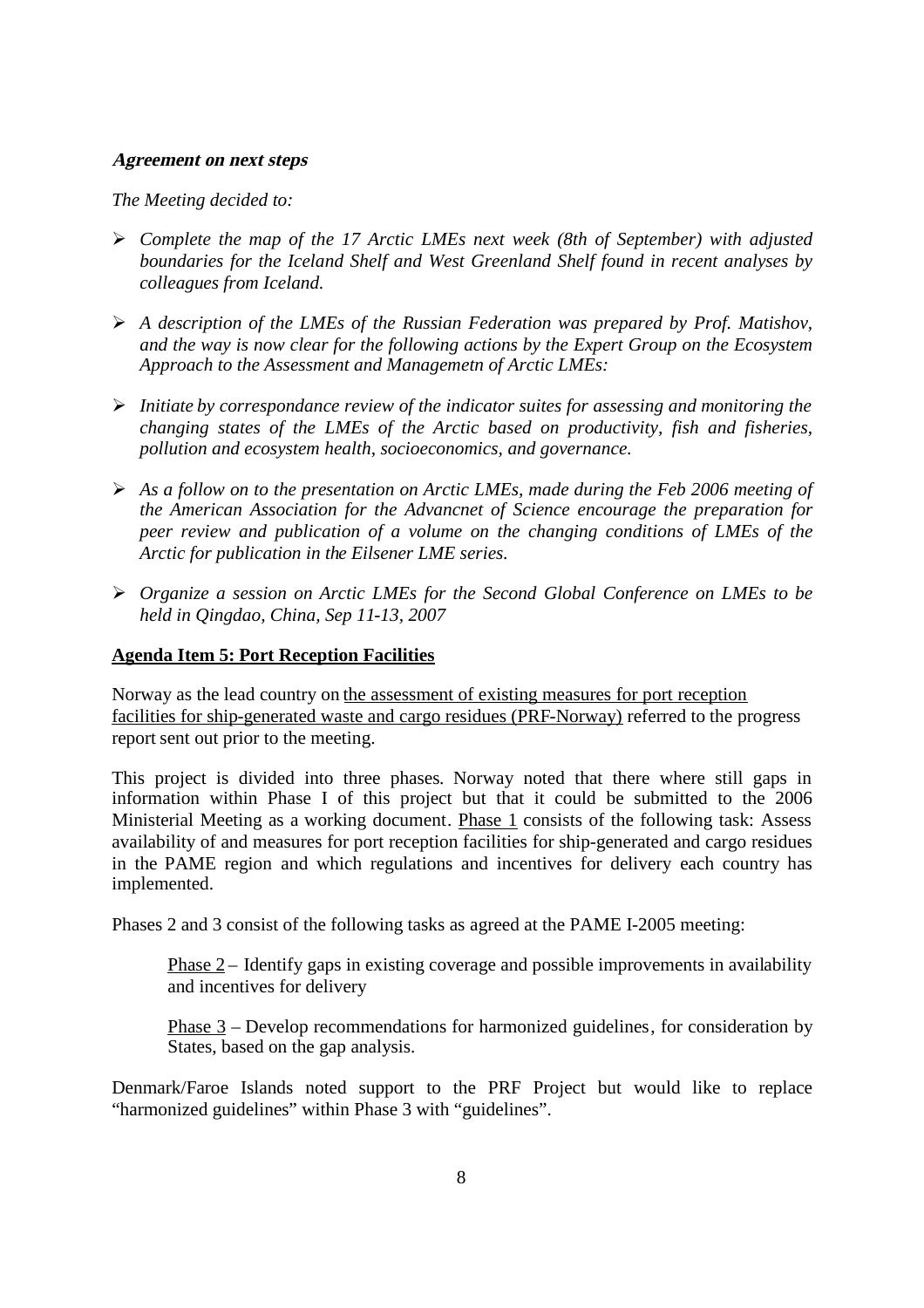#### **Agreement on next steps**

*The Meeting decided to:*

- *Complete the map of the 17 Arctic LMEs next week (8th of September) with adjusted boundaries for the Iceland Shelf and West Greenland Shelf found in recent analyses by colleagues from Iceland.*
- *A description of the LMEs of the Russian Federation was prepared by Prof. Matishov, and the way is now clear for the following actions by the Expert Group on the Ecosystem Approach to the Assessment and Managemetn of Arctic LMEs:*
- *Initiate by correspondance review of the indicator suites for assessing and monitoring the changing states of the LMEs of the Arctic based on productivity, fish and fisheries, pollution and ecosystem health, socioeconomics, and governance.*
- *As a follow on to the presentation on Arctic LMEs, made during the Feb 2006 meeting of the American Association for the Advancnet of Science encourage the preparation for peer review and publication of a volume on the changing conditions of LMEs of the Arctic for publication in the Eilsener LME series.*
- *Organize a session on Arctic LMEs for the Second Global Conference on LMEs to be held in Qingdao, China, Sep 11-13, 2007*

#### <span id="page-10-0"></span>**Agenda Item 5: Port Reception Facilities**

Norway as the lead country on the assessment of existing measures for port reception facilities for ship-generated waste and cargo residues (PRF-Norway) referred to the progress report sent out prior to the meeting.

This project is divided into three phases. Norway noted that there where still gaps in information within Phase I of this project but that it could be submitted to the 2006 Ministerial Meeting as a working document. Phase 1 consists of the following task: Assess availability of and measures for port reception facilities for ship-generated and cargo residues in the PAME region and which regulations and incentives for delivery each country has implemented.

Phases 2 and 3 consist of the following tasks as agreed at the PAME I-2005 meeting:

Phase  $2$  – Identify gaps in existing coverage and possible improvements in availability and incentives for delivery

Phase 3 – Develop recommendations for harmonized guidelines, for consideration by States, based on the gap analysis.

Denmark/Faroe Islands noted support to the PRF Project but would like to replace "harmonized guidelines" within Phase 3 with "guidelines".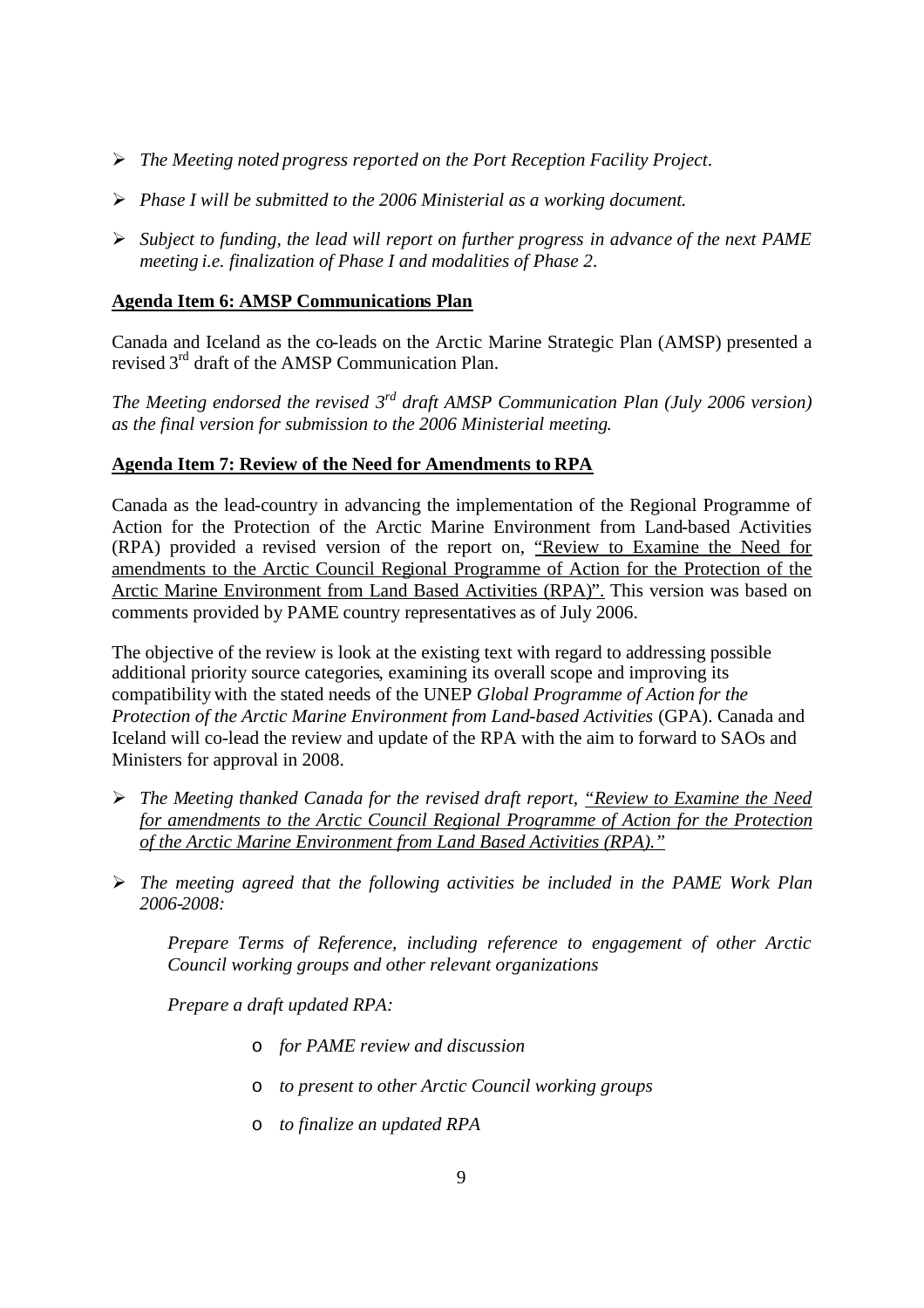- *The Meeting noted progress reported on the Port Reception Facility Project.*
- *Phase I will be submitted to the 2006 Ministerial as a working document.*
- *Subject to funding, the lead will report on further progress in advance of the next PAME meeting i.e. finalization of Phase I and modalities of Phase 2.*

#### <span id="page-11-0"></span>**Agenda Item 6: AMSP Communications Plan**

Canada and Iceland as the co-leads on the Arctic Marine Strategic Plan (AMSP) presented a revised 3<sup>rd</sup> draft of the AMSP Communication Plan.

*The Meeting endorsed the revised 3 rd draft AMSP Communication Plan (July 2006 version) as the final version for submission to the 2006 Ministerial meeting.*

#### <span id="page-11-1"></span>**Agenda Item 7: Review of the Need for Amendments to RPA**

Canada as the lead-country in advancing the implementation of the Regional Programme of Action for the Protection of the Arctic Marine Environment from Land-based Activities (RPA) provided a revised version of the report on, "Review to Examine the Need for amendments to the Arctic Council Regional Programme of Action for the Protection of the Arctic Marine Environment from Land Based Activities (RPA)". This version was based on comments provided by PAME country representatives as of July 2006.

The objective of the review is look at the existing text with regard to addressing possible additional priority source categories, examining its overall scope and improving its compatibility with the stated needs of the UNEP *Global Programme of Action for the Protection of the Arctic Marine Environment from Land-based Activities* (GPA). Canada and Iceland will co-lead the review and update of the RPA with the aim to forward to SAOs and Ministers for approval in 2008.

- *The Meeting thanked Canada for the revised draft report, "Review to Examine the Need for amendments to the Arctic Council Regional Programme of Action for the Protection of the Arctic Marine Environment from Land Based Activities (RPA)."*
- *The meeting agreed that the following activities be included in the PAME Work Plan 2006-2008:*

*Prepare Terms of Reference, including reference to engagement of other Arctic Council working groups and other relevant organizations*

*Prepare a draft updated RPA:*

- o *for PAME review and discussion*
- o *to present to other Arctic Council working groups*
- o *to finalize an updated RPA*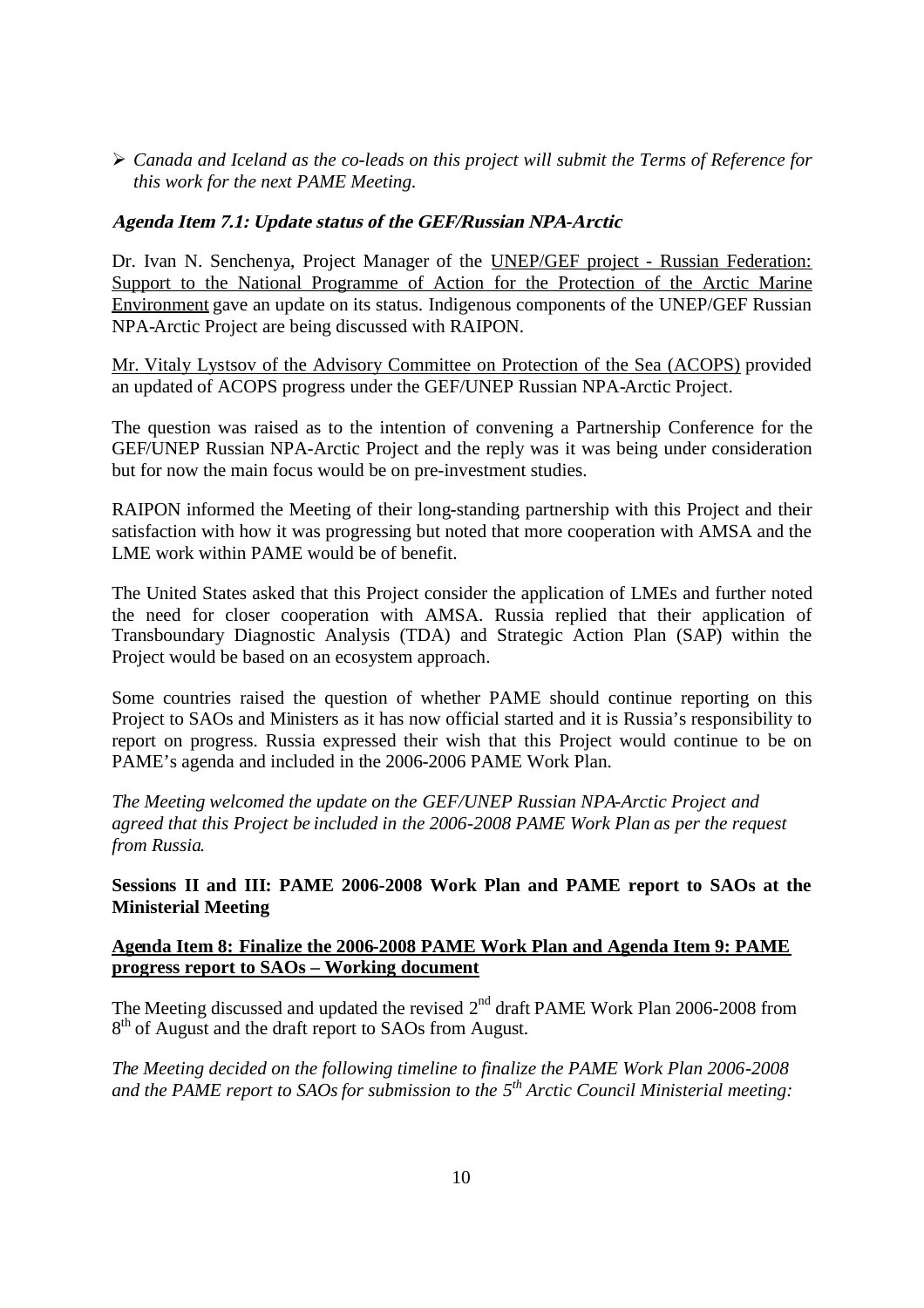*Canada and Iceland as the co-leads on this project will submit the Terms of Reference for this work for the next PAME Meeting.*

#### **Agenda Item 7.1: Update status of the GEF/Russian NPA-Arctic**

Dr. Ivan N. Senchenya, Project Manager of the UNEP/GEF project - Russian Federation: Support to the National Programme of Action for the Protection of the Arctic Marine Environment gave an update on its status. Indigenous components of the UNEP/GEF Russian NPA-Arctic Project are being discussed with RAIPON.

Mr. Vitaly Lystsov of the Advisory Committee on Protection of the Sea (ACOPS) provided an updated of ACOPS progress under the GEF/UNEP Russian NPA-Arctic Project.

The question was raised as to the intention of convening a Partnership Conference for the GEF/UNEP Russian NPA-Arctic Project and the reply was it was being under consideration but for now the main focus would be on pre-investment studies.

RAIPON informed the Meeting of their long-standing partnership with this Project and their satisfaction with how it was progressing but noted that more cooperation with AMSA and the LME work within PAME would be of benefit.

The United States asked that this Project consider the application of LMEs and further noted the need for closer cooperation with AMSA. Russia replied that their application of Transboundary Diagnostic Analysis (TDA) and Strategic Action Plan (SAP) within the Project would be based on an ecosystem approach.

Some countries raised the question of whether PAME should continue reporting on this Project to SAOs and Ministers as it has now official started and it is Russia's responsibility to report on progress. Russia expressed their wish that this Project would continue to be on PAME's agenda and included in the 2006-2006 PAME Work Plan.

*The Meeting welcomed the update on the GEF/UNEP Russian NPA-Arctic Project and agreed that this Project be included in the 2006-2008 PAME Work Plan as per the request from Russia.*

<span id="page-12-0"></span>**Sessions II and III: PAME 2006-2008 Work Plan and PAME report to SAOs at the Ministerial Meeting**

#### <span id="page-12-1"></span>**Agenda Item 8: Finalize the 2006-2008 PAME Work Plan and Agenda Item 9: PAME progress report to SAOs – Working document**

The Meeting discussed and updated the revised  $2<sup>nd</sup>$  draft PAME Work Plan 2006-2008 from 8<sup>th</sup> of August and the draft report to SAOs from August.

*The Meeting decided on the following timeline to finalize the PAME Work Plan 2006-2008 and the PAME report to SAOsfor submission to the 5 th Arctic Council Ministerial meeting:*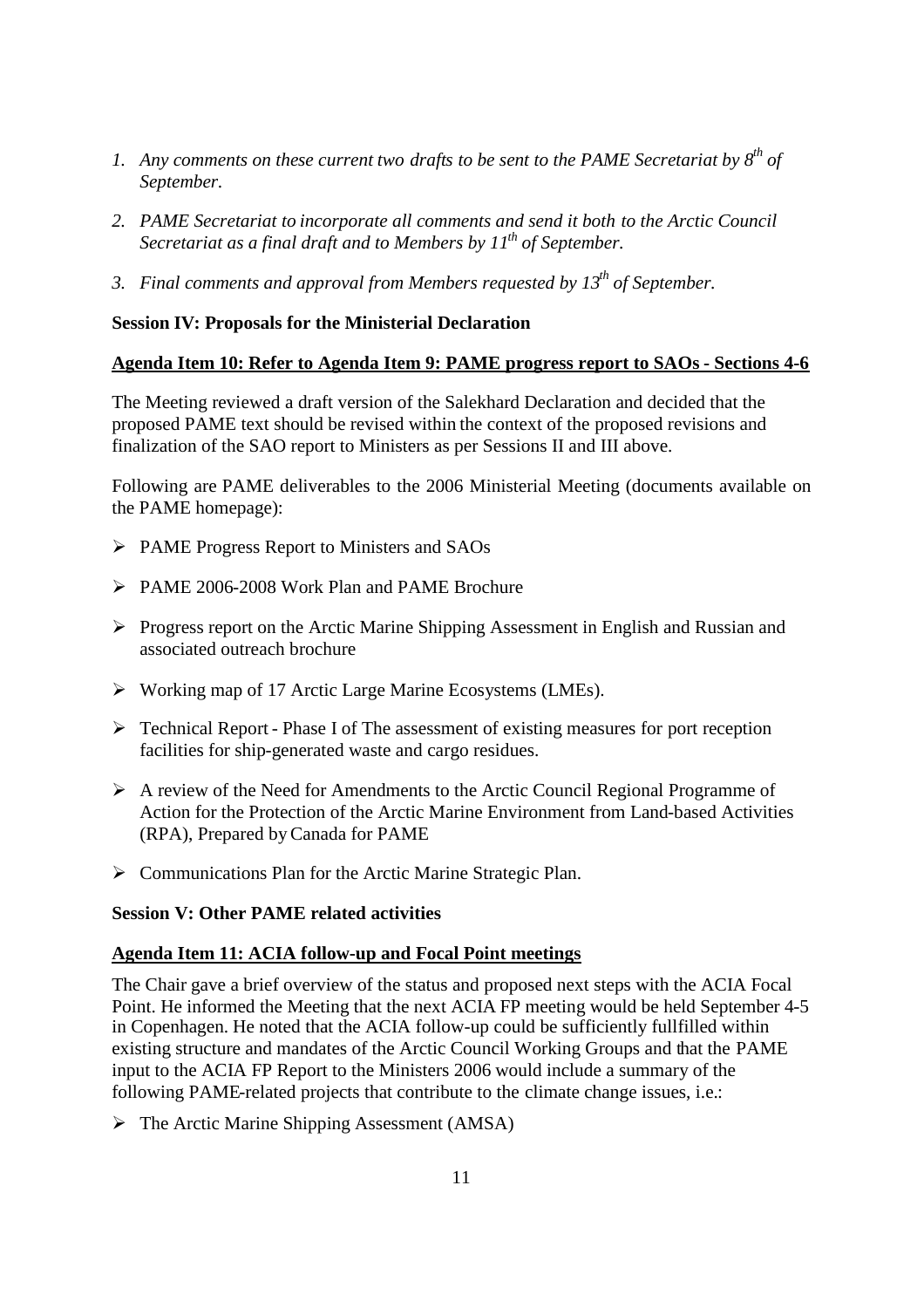- *1. Any comments on these current two drafts to be sent to the PAME Secretariat by 8th of September.*
- *2. PAME Secretariat to incorporate all comments and send it both to the Arctic Council Secretariat as a final draft and to Members by 11th of September.*
- *3. Final comments and approval from Members requested by 13th of September.*

#### <span id="page-13-0"></span>**Session IV: Proposals for the Ministerial Declaration**

#### <span id="page-13-1"></span>**Agenda Item 10: Refer to Agenda Item 9: PAME progress report to SAOs - Sections 4-6**

The Meeting reviewed a draft version of the Salekhard Declaration and decided that the proposed PAME text should be revised within the context of the proposed revisions and finalization of the SAO report to Ministers as per Sessions II and III above.

Following are PAME deliverables to the 2006 Ministerial Meeting (documents available on the PAME homepage):

- PAME Progress Report to Ministers and SAOs
- PAME 2006-2008 Work Plan and PAME Brochure
- Progress report on the Arctic Marine Shipping Assessment in English and Russian and associated outreach brochure
- Working map of 17 Arctic Large Marine Ecosystems (LMEs).
- $\triangleright$  Technical Report Phase I of The assessment of existing measures for port reception facilities for ship-generated waste and cargo residues.
- A review of the Need for Amendments to the Arctic Council Regional Programme of Action for the Protection of the Arctic Marine Environment from Land-based Activities (RPA), Prepared byCanada for PAME
- $\triangleright$  Communications Plan for the Arctic Marine Strategic Plan.

#### <span id="page-13-2"></span>**Session V: Other PAME related activities**

#### <span id="page-13-3"></span>**Agenda Item 11: ACIA follow-up and Focal Point meetings**

The Chair gave a brief overview of the status and proposed next steps with the ACIA Focal Point. He informed the Meeting that the next ACIA FP meeting would be held September 4-5 in Copenhagen. He noted that the ACIA follow-up could be sufficiently fullfilled within existing structure and mandates of the Arctic Council Working Groups and that the PAME input to the ACIA FP Report to the Ministers 2006 would include a summary of the following PAME-related projects that contribute to the climate change issues, i.e.:

 $\triangleright$  The Arctic Marine Shipping Assessment (AMSA)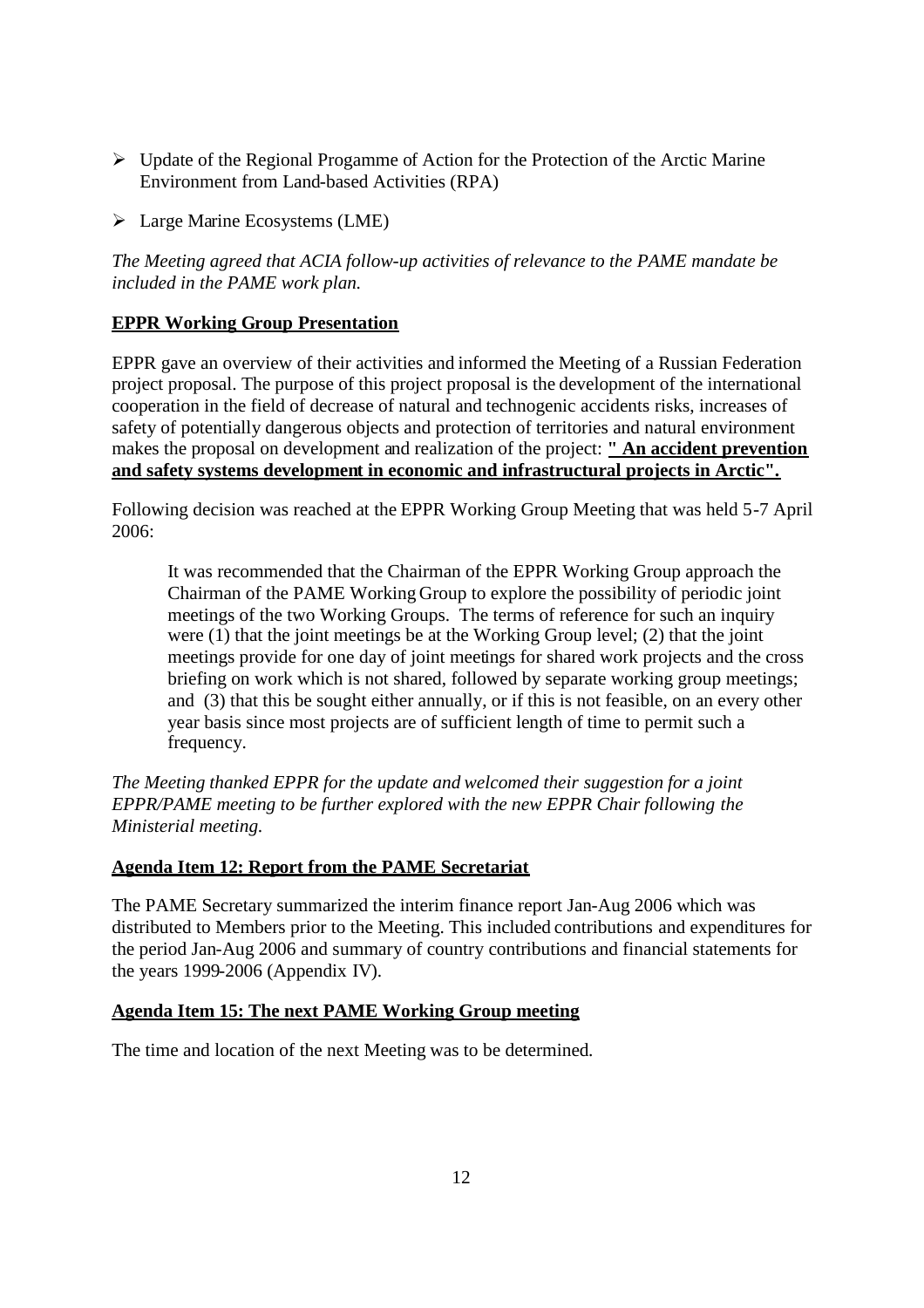- $\triangleright$  Update of the Regional Progamme of Action for the Protection of the Arctic Marine Environment from Land-based Activities (RPA)
- $\triangleright$  Large Marine Ecosystems (LME)

*The Meeting agreed that ACIA follow-up activities of relevance to the PAME mandate be included in the PAME work plan.*

#### <span id="page-14-0"></span>**EPPR Working Group Presentation**

EPPR gave an overview of their activities and informed the Meeting of a Russian Federation project proposal. The purpose of this project proposal is the development of the international cooperation in the field of decrease of natural and technogenic accidents risks, increases of safety of potentially dangerous objects and protection of territories and natural environment makes the proposal on development and realization of the project: **" An accident prevention and safety systems development in economic and infrastructural projects in Arctic".**

Following decision was reached at the EPPR Working Group Meeting that was held 5-7 April 2006:

It was recommended that the Chairman of the EPPR Working Group approach the Chairman of the PAME Working Group to explore the possibility of periodic joint meetings of the two Working Groups. The terms of reference for such an inquiry were  $(1)$  that the joint meetings be at the Working Group level;  $(2)$  that the joint meetings provide for one day of joint meetings for shared work projects and the cross briefing on work which is not shared, followed by separate working group meetings; and (3) that this be sought either annually, or if this is not feasible, on an every other year basis since most projects are of sufficient length of time to permit such a frequency.

*The Meeting thanked EPPR for the update and welcomed their suggestion for a joint EPPR/PAME meeting to be further explored with the new EPPR Chair following the Ministerial meeting.*

#### <span id="page-14-1"></span>**Agenda Item 12: Report from the PAME Secretariat**

The PAME Secretary summarized the interim finance report Jan-Aug 2006 which was distributed to Members prior to the Meeting. This included contributions and expenditures for the period Jan-Aug 2006 and summary of country contributions and financial statements for the years 1999-2006 (Appendix IV).

#### <span id="page-14-2"></span>**Agenda Item 15: The next PAME Working Group meeting**

The time and location of the next Meeting was to be determined.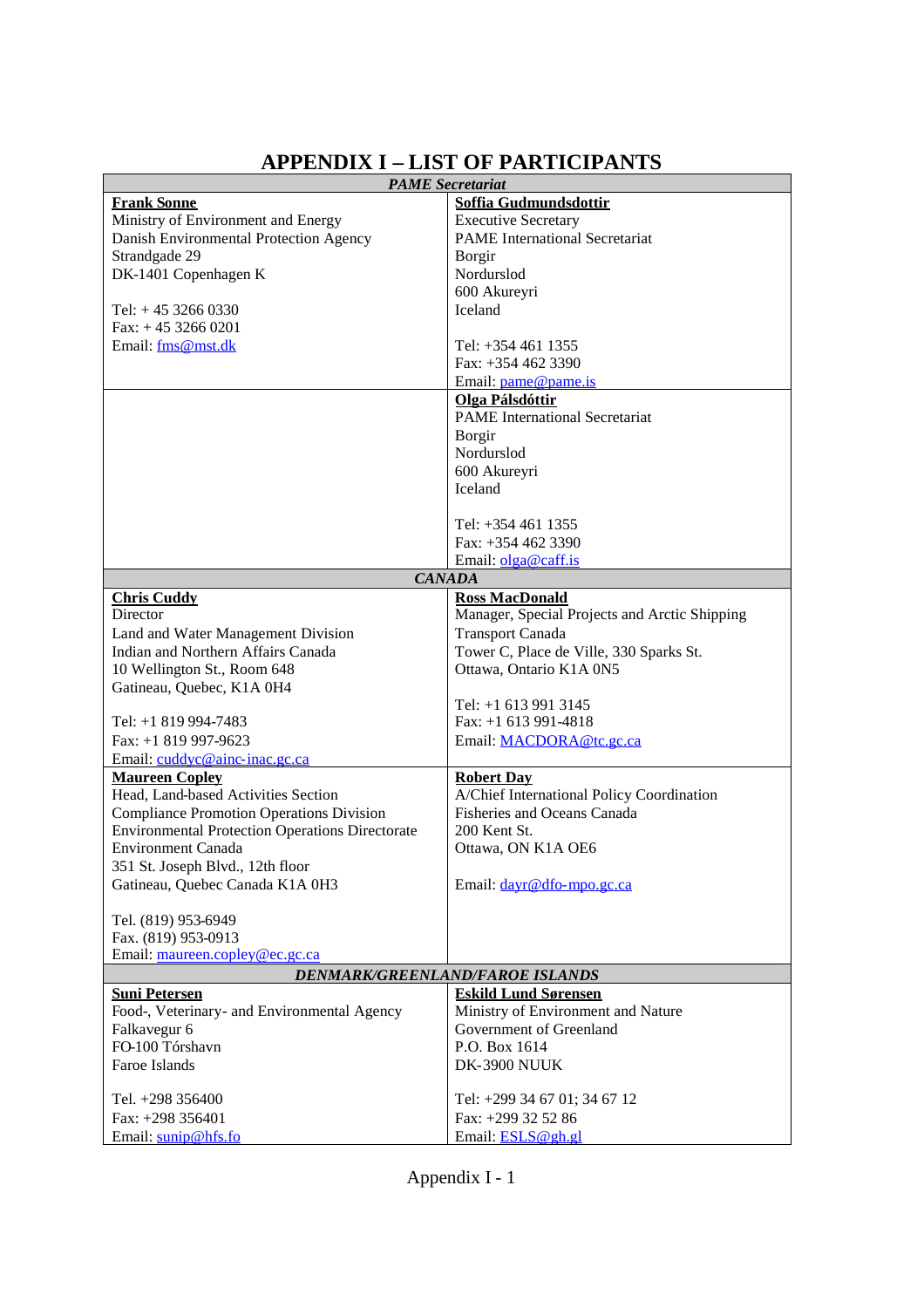# **APPENDIX I – LIST OF PARTICIPANTS**

| <b>PAME</b> Secretariat                                             |                                               |  |  |  |  |
|---------------------------------------------------------------------|-----------------------------------------------|--|--|--|--|
| <b>Frank Sonne</b>                                                  | Soffia Gudmundsdottir                         |  |  |  |  |
| Ministry of Environment and Energy                                  | <b>Executive Secretary</b>                    |  |  |  |  |
| Danish Environmental Protection Agency                              | <b>PAME</b> International Secretariat         |  |  |  |  |
| Strandgade 29                                                       | Borgir                                        |  |  |  |  |
| DK-1401 Copenhagen K                                                | Nordurslod                                    |  |  |  |  |
|                                                                     | 600 Akureyri                                  |  |  |  |  |
| Tel: $+4532660330$                                                  | <b>Iceland</b>                                |  |  |  |  |
| $Fax: + 4532660201$                                                 |                                               |  |  |  |  |
| Email: fms@mst.dk                                                   | Tel: $+3544611355$                            |  |  |  |  |
|                                                                     | Fax: $+3544623390$                            |  |  |  |  |
|                                                                     | Email: pame@pame.is                           |  |  |  |  |
|                                                                     | Olga Pálsdóttir                               |  |  |  |  |
|                                                                     | <b>PAME</b> International Secretariat         |  |  |  |  |
|                                                                     | Borgir                                        |  |  |  |  |
|                                                                     | Nordurslod                                    |  |  |  |  |
|                                                                     | 600 Akureyri<br>Iceland                       |  |  |  |  |
|                                                                     |                                               |  |  |  |  |
|                                                                     | Tel: $+3544611355$                            |  |  |  |  |
|                                                                     | Fax: $+3544623390$                            |  |  |  |  |
|                                                                     | Email: olga@caff.is                           |  |  |  |  |
|                                                                     | <b>CANADA</b>                                 |  |  |  |  |
| <b>Chris Cuddy</b>                                                  | <b>Ross MacDonald</b>                         |  |  |  |  |
| Director                                                            | Manager, Special Projects and Arctic Shipping |  |  |  |  |
| Land and Water Management Division                                  | <b>Transport Canada</b>                       |  |  |  |  |
| Indian and Northern Affairs Canada                                  | Tower C, Place de Ville, 330 Sparks St.       |  |  |  |  |
| 10 Wellington St., Room 648                                         | Ottawa, Ontario K1A 0N5                       |  |  |  |  |
| Gatineau, Quebec, K1A 0H4                                           |                                               |  |  |  |  |
|                                                                     | Tel: $+1$ 613 991 3145                        |  |  |  |  |
| Tel: +1 819 994-7483                                                | Fax: +1 613 991-4818                          |  |  |  |  |
| Fax: +1 819 997-9623                                                | Email: MACDORA@tc.gc.ca                       |  |  |  |  |
| Email: cuddyc@ainc-inac.gc.ca                                       |                                               |  |  |  |  |
| <b>Maureen Copley</b>                                               | <b>Robert Day</b>                             |  |  |  |  |
| Head, Land-based Activities Section                                 | A/Chief International Policy Coordination     |  |  |  |  |
| <b>Compliance Promotion Operations Division</b>                     | Fisheries and Oceans Canada                   |  |  |  |  |
| <b>Environmental Protection Operations Directorate</b>              | 200 Kent St.                                  |  |  |  |  |
| <b>Environment Canada</b>                                           | Ottawa, ON K1A OE6                            |  |  |  |  |
| 351 St. Joseph Blvd., 12th floor                                    |                                               |  |  |  |  |
| Gatineau, Quebec Canada K1A 0H3                                     | Email: dayr@dfo-mpo.gc.ca                     |  |  |  |  |
|                                                                     |                                               |  |  |  |  |
| Tel. (819) 953-6949                                                 |                                               |  |  |  |  |
| Fax. (819) 953-0913<br>Email: maureen.copley@ec.gc.ca               |                                               |  |  |  |  |
|                                                                     |                                               |  |  |  |  |
| DENMARK/GREENLAND/FAROE ISLANDS<br><b>Eskild Lund Sørensen</b>      |                                               |  |  |  |  |
| <b>Suni Petersen</b><br>Food-, Veterinary- and Environmental Agency | Ministry of Environment and Nature            |  |  |  |  |
| Falkavegur 6                                                        | Government of Greenland                       |  |  |  |  |
| FO-100 Tórshavn                                                     | P.O. Box 1614                                 |  |  |  |  |
| Faroe Islands                                                       | DK-3900 NUUK                                  |  |  |  |  |
|                                                                     |                                               |  |  |  |  |
| Tel. $+298$ 356400                                                  | Tel: +299 34 67 01; 34 67 12                  |  |  |  |  |
| Fax: +298 356401                                                    | Fax: +299 32 52 86                            |  |  |  |  |
| Email: sunip@hfs.fo                                                 | Email: <b>ESLS@gh.gl</b>                      |  |  |  |  |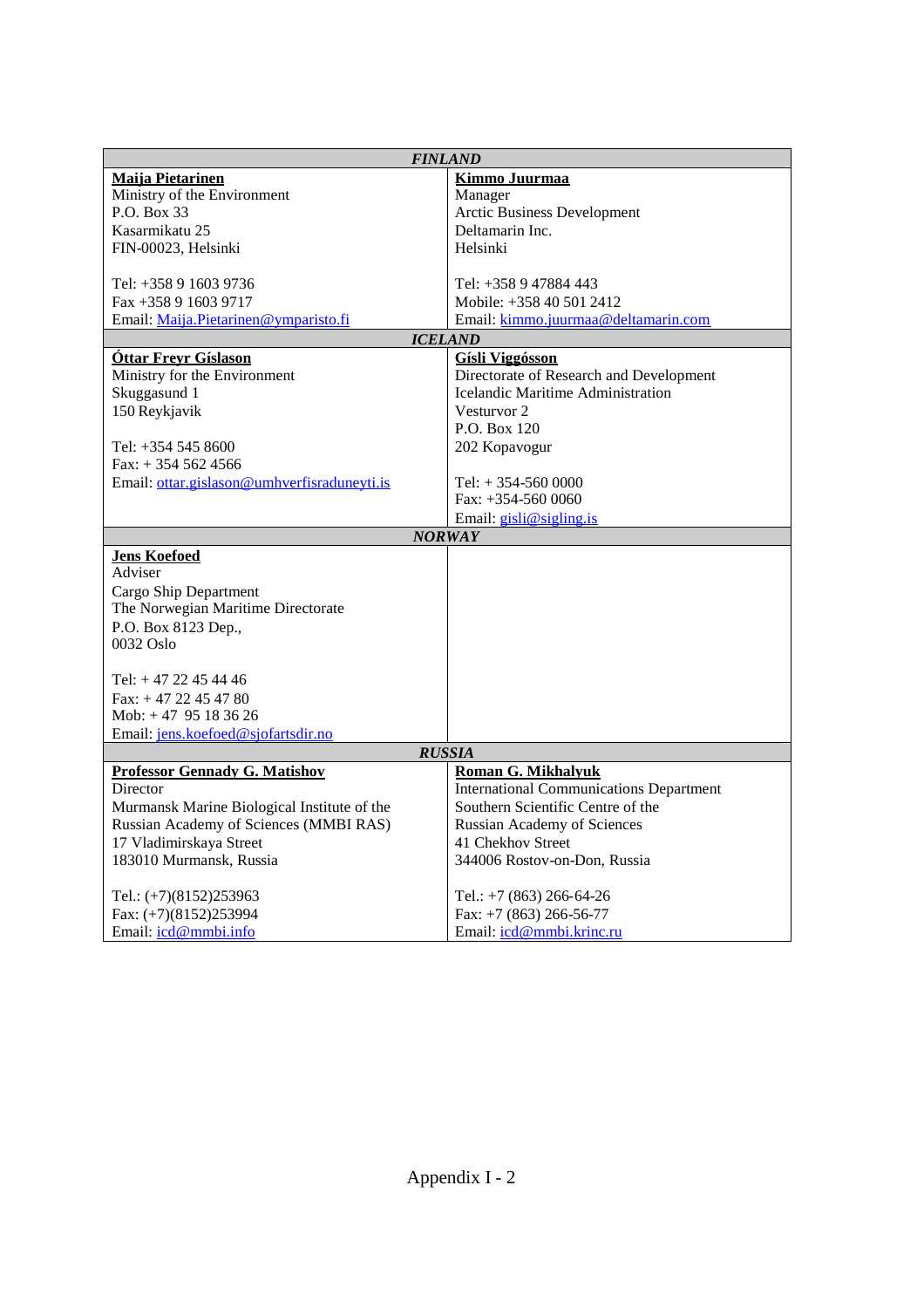| <b>FINLAND</b>                              |                                                |  |  |  |  |
|---------------------------------------------|------------------------------------------------|--|--|--|--|
| <b>Maiia Pietarinen</b>                     | Kimmo Juurmaa                                  |  |  |  |  |
| Ministry of the Environment                 | Manager                                        |  |  |  |  |
| P.O. Box 33                                 | Arctic Business Development                    |  |  |  |  |
| Kasarmikatu 25                              | Deltamarin Inc.                                |  |  |  |  |
| FIN-00023, Helsinki                         | Helsinki                                       |  |  |  |  |
|                                             |                                                |  |  |  |  |
| Tel: +358 9 1603 9736                       | Tel: +358 9 47884 443                          |  |  |  |  |
| $Fax + 358916039717$                        | Mobile: +358 40 501 2412                       |  |  |  |  |
| Email: Maija.Pietarinen@ymparisto.fi        | Email: kimmo.juurmaa@deltamarin.com            |  |  |  |  |
|                                             | <b>ICELAND</b>                                 |  |  |  |  |
| <b>Óttar Freyr Gíslason</b>                 | <b>Gísli Viggósson</b>                         |  |  |  |  |
| Ministry for the Environment                | Directorate of Research and Development        |  |  |  |  |
| Skuggasund 1                                | Icelandic Maritime Administration              |  |  |  |  |
| 150 Reykjavik                               | Vesturvor 2                                    |  |  |  |  |
|                                             | P.O. Box 120                                   |  |  |  |  |
| Tel: +354 545 8600                          | 202 Kopavogur                                  |  |  |  |  |
| Fax: $+3545624566$                          |                                                |  |  |  |  |
| Email: ottar.gislason@umhverfisraduneyti.is | Tel: $+354-5600000$                            |  |  |  |  |
|                                             | Fax: $+354-5600000$                            |  |  |  |  |
|                                             | Email: gisli@sigling.is                        |  |  |  |  |
|                                             | <b>NORWAY</b>                                  |  |  |  |  |
| <b>Jens Koefoed</b>                         |                                                |  |  |  |  |
| Adviser                                     |                                                |  |  |  |  |
| Cargo Ship Department                       |                                                |  |  |  |  |
| The Norwegian Maritime Directorate          |                                                |  |  |  |  |
| P.O. Box 8123 Dep.,                         |                                                |  |  |  |  |
| $0032$ Oslo                                 |                                                |  |  |  |  |
|                                             |                                                |  |  |  |  |
| Tel: $+47$ 22 45 44 46                      |                                                |  |  |  |  |
| Fax: $+4722454780$                          |                                                |  |  |  |  |
| Mob: $+47$ 95 18 36 26                      |                                                |  |  |  |  |
| Email: jens.koefoed@sjofartsdir.no          |                                                |  |  |  |  |
|                                             | <b>RUSSIA</b>                                  |  |  |  |  |
| <b>Professor Gennady G. Matishov</b>        | <b>Roman G. Mikhalyuk</b>                      |  |  |  |  |
| Director                                    | <b>International Communications Department</b> |  |  |  |  |
| Murmansk Marine Biological Institute of the | Southern Scientific Centre of the              |  |  |  |  |
| Russian Academy of Sciences (MMBI RAS)      | Russian Academy of Sciences                    |  |  |  |  |
| 17 Vladimirskaya Street                     | 41 Chekhov Street                              |  |  |  |  |
| 183010 Murmansk, Russia                     | 344006 Rostov-on-Don, Russia                   |  |  |  |  |
|                                             |                                                |  |  |  |  |
| Tel.: (+7)(8152)253963                      | Tel.: $+7$ (863) 266-64-26                     |  |  |  |  |
| Fax: (+7)(8152)253994                       | Fax: $+7$ (863) 266-56-77                      |  |  |  |  |
| Email: $icd@mmbi.info$                      | Email: icd@mmbi.krinc.ru                       |  |  |  |  |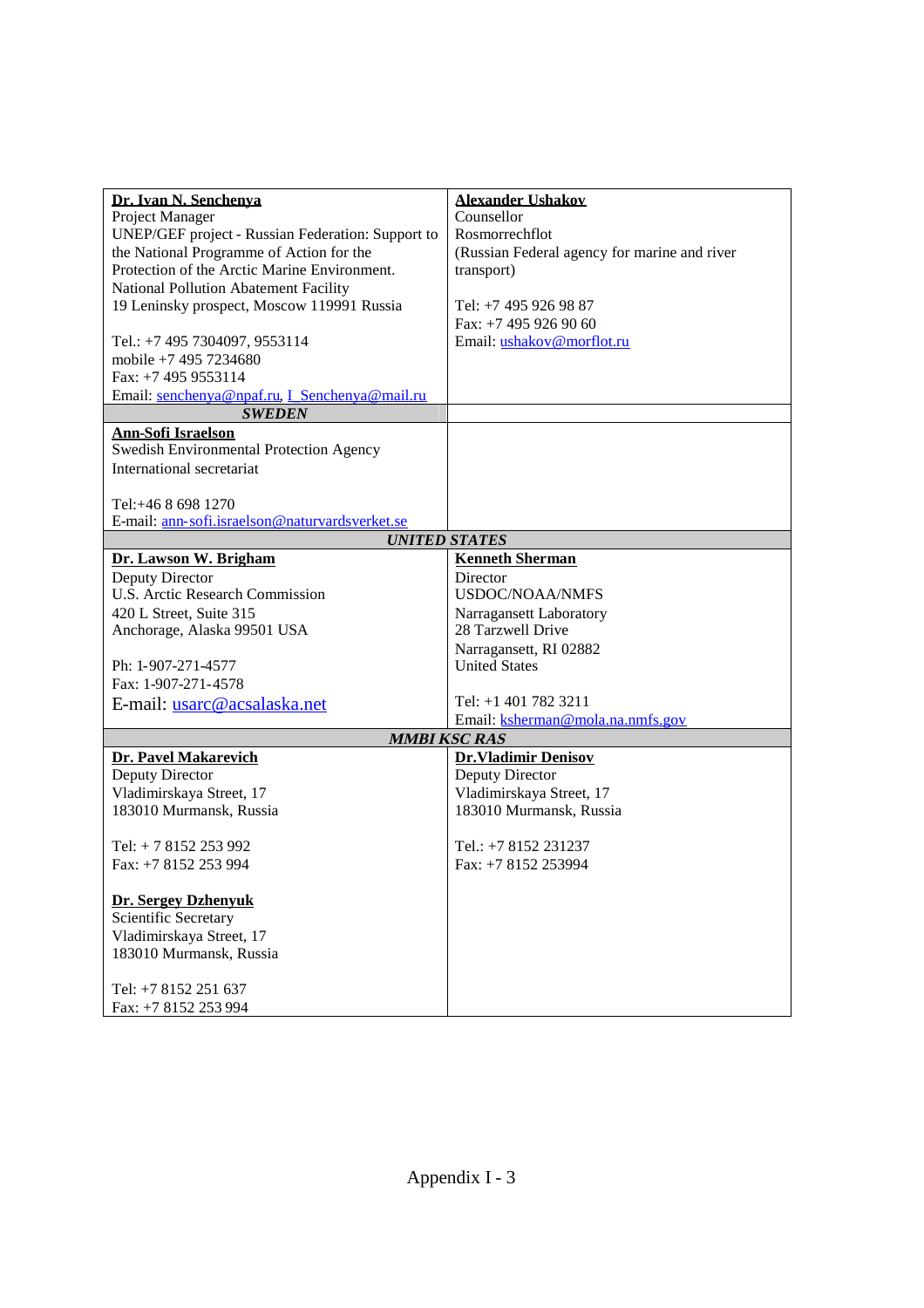| Dr. Ivan N. Senchenya                             | <b>Alexander Ushakov</b>                     |  |  |  |  |
|---------------------------------------------------|----------------------------------------------|--|--|--|--|
| Project Manager                                   | Counsellor                                   |  |  |  |  |
| UNEP/GEF project - Russian Federation: Support to | Rosmorrechflot                               |  |  |  |  |
| the National Programme of Action for the          | (Russian Federal agency for marine and river |  |  |  |  |
| Protection of the Arctic Marine Environment.      | transport)                                   |  |  |  |  |
| <b>National Pollution Abatement Facility</b>      |                                              |  |  |  |  |
| 19 Leninsky prospect, Moscow 119991 Russia        | Tel: +7 495 926 98 87                        |  |  |  |  |
|                                                   | Fax: +7 495 926 90 60                        |  |  |  |  |
| Tel.: +7 495 7304097, 9553114                     | Email: ushakov@morflot.ru                    |  |  |  |  |
| mobile +7 495 7234680                             |                                              |  |  |  |  |
| Fax: $+7$ 495 9553114                             |                                              |  |  |  |  |
| Email: senchenya@npaf.ru, I_Senchenya@mail.ru     |                                              |  |  |  |  |
| <b>SWEDEN</b>                                     |                                              |  |  |  |  |
| <b>Ann-Sofi Israelson</b>                         |                                              |  |  |  |  |
| Swedish Environmental Protection Agency           |                                              |  |  |  |  |
| International secretariat                         |                                              |  |  |  |  |
|                                                   |                                              |  |  |  |  |
| Tel: +46 8 698 1270                               |                                              |  |  |  |  |
| E-mail: ann-sofi.israelson@naturvardsverket.se    |                                              |  |  |  |  |
|                                                   | <b>UNITED STATES</b>                         |  |  |  |  |
| Dr. Lawson W. Brigham                             | <b>Kenneth Sherman</b>                       |  |  |  |  |
| Deputy Director                                   | Director                                     |  |  |  |  |
| <b>U.S. Arctic Research Commission</b>            | <b>USDOC/NOAA/NMFS</b>                       |  |  |  |  |
| 420 L Street, Suite 315                           | Narragansett Laboratory                      |  |  |  |  |
| Anchorage, Alaska 99501 USA                       | 28 Tarzwell Drive                            |  |  |  |  |
|                                                   | Narragansett, RI 02882                       |  |  |  |  |
| Ph: 1-907-271-4577                                | <b>United States</b>                         |  |  |  |  |
| Fax: 1-907-271-4578                               |                                              |  |  |  |  |
| E-mail: usarc@acsalaska.net                       | Tel: +1 401 782 3211                         |  |  |  |  |
|                                                   | Email: ksherman@mola.na.nmfs.gov             |  |  |  |  |
|                                                   | <b>MMBI KSC RAS</b>                          |  |  |  |  |
| Dr. Pavel Makarevich                              | <b>Dr.Vladimir Denisov</b>                   |  |  |  |  |
| Deputy Director                                   | Deputy Director                              |  |  |  |  |
| Vladimirskaya Street, 17                          | Vladimirskaya Street, 17                     |  |  |  |  |
| 183010 Murmansk, Russia                           | 183010 Murmansk, Russia                      |  |  |  |  |
|                                                   |                                              |  |  |  |  |
| Tel: $+ 78152253992$                              | Tel.: +7 8152 231237                         |  |  |  |  |
| Fax: +7 8152 253 994                              | Fax: +7 8152 253994                          |  |  |  |  |
|                                                   |                                              |  |  |  |  |
| <b>Dr. Sergey Dzhenvuk</b>                        |                                              |  |  |  |  |
| Scientific Secretary                              |                                              |  |  |  |  |
| Vladimirskaya Street, 17                          |                                              |  |  |  |  |
| 183010 Murmansk, Russia                           |                                              |  |  |  |  |
|                                                   |                                              |  |  |  |  |
| Tel: +7 8152 251 637                              |                                              |  |  |  |  |
| Fax: +7 8152 253 994                              |                                              |  |  |  |  |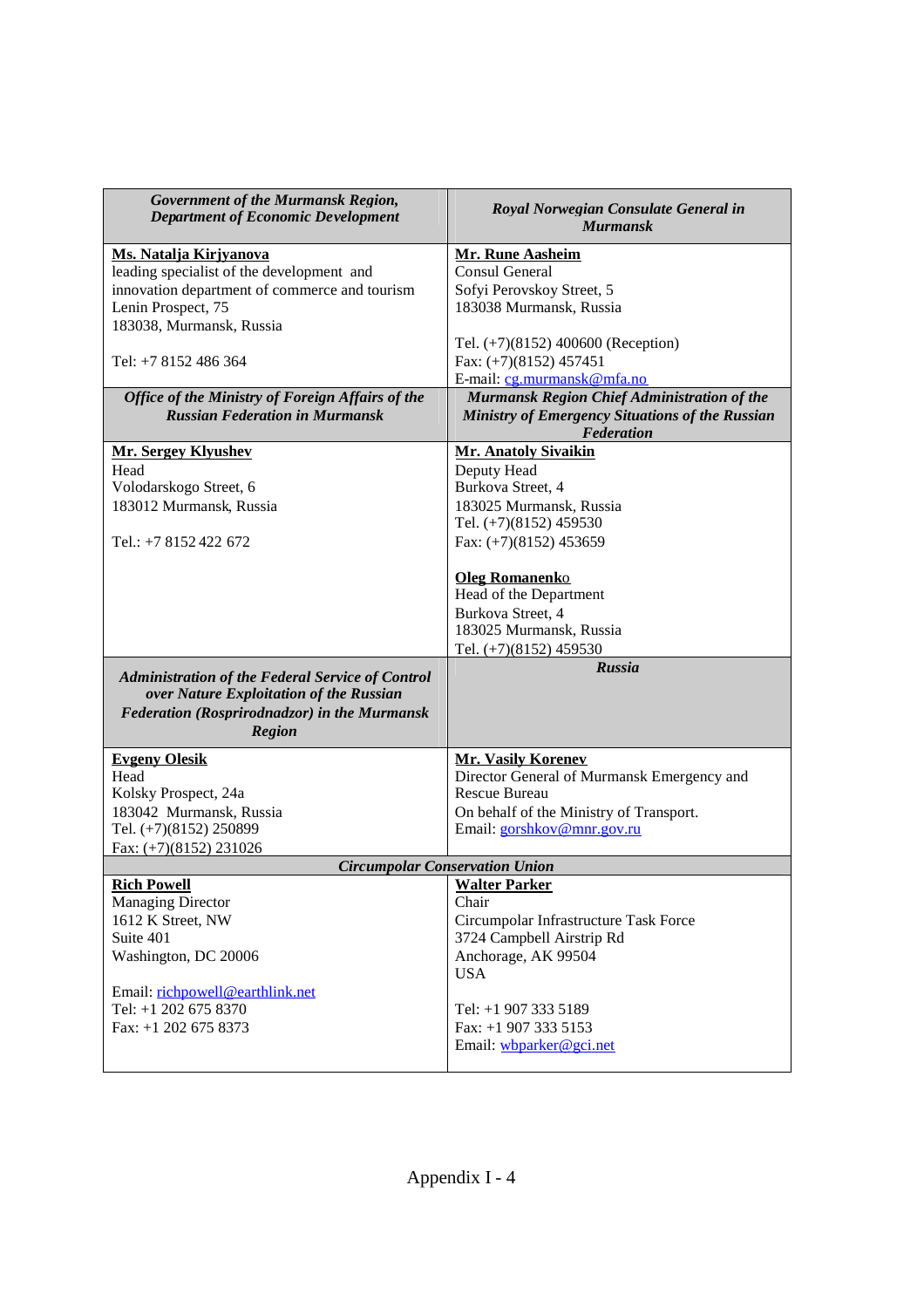| Government of the Murmansk Region,<br><b>Department of Economic Development</b>                                                                                     | Royal Norwegian Consulate General in<br><b>Murmansk</b>                                                                   |  |  |  |  |
|---------------------------------------------------------------------------------------------------------------------------------------------------------------------|---------------------------------------------------------------------------------------------------------------------------|--|--|--|--|
| Ms. Natalja Kirjyanova                                                                                                                                              | <b>Mr. Rune Aasheim</b>                                                                                                   |  |  |  |  |
| leading specialist of the development and                                                                                                                           | <b>Consul General</b>                                                                                                     |  |  |  |  |
| innovation department of commerce and tourism                                                                                                                       | Sofyi Perovskoy Street, 5                                                                                                 |  |  |  |  |
| Lenin Prospect, 75                                                                                                                                                  | 183038 Murmansk, Russia                                                                                                   |  |  |  |  |
| 183038, Murmansk, Russia                                                                                                                                            |                                                                                                                           |  |  |  |  |
|                                                                                                                                                                     | Tel. (+7)(8152) 400600 (Reception)                                                                                        |  |  |  |  |
| Tel: $+78152486364$                                                                                                                                                 | Fax: $(+7)(8152)$ 457451                                                                                                  |  |  |  |  |
|                                                                                                                                                                     | E-mail: cg.murmansk@mfa.no                                                                                                |  |  |  |  |
| Office of the Ministry of Foreign Affairs of the                                                                                                                    | Murmansk Region Chief Administration of the                                                                               |  |  |  |  |
| <b>Russian Federation in Murmansk</b>                                                                                                                               | Ministry of Emergency Situations of the Russian<br>Federation                                                             |  |  |  |  |
| <b>Mr. Sergey Klyushev</b>                                                                                                                                          | <b>Mr. Anatoly Sivaikin</b>                                                                                               |  |  |  |  |
| Head                                                                                                                                                                | Deputy Head                                                                                                               |  |  |  |  |
| Volodarskogo Street, 6                                                                                                                                              | Burkova Street, 4                                                                                                         |  |  |  |  |
| 183012 Murmansk, Russia                                                                                                                                             | 183025 Murmansk, Russia                                                                                                   |  |  |  |  |
|                                                                                                                                                                     | Tel. (+7)(8152) 459530                                                                                                    |  |  |  |  |
| Tel.: +7 8152 422 672                                                                                                                                               | Fax: $(+7)(8152)$ 453659                                                                                                  |  |  |  |  |
|                                                                                                                                                                     | <b>Oleg Romanenko</b><br>Head of the Department<br>Burkova Street, 4<br>183025 Murmansk, Russia<br>Tel. (+7)(8152) 459530 |  |  |  |  |
|                                                                                                                                                                     | Russia                                                                                                                    |  |  |  |  |
| <b>Administration of the Federal Service of Control</b><br>over Nature Exploitation of the Russian<br>Federation (Rosprirodnadzor) in the Murmansk<br><b>Region</b> |                                                                                                                           |  |  |  |  |
| <b>Evgeny Olesik</b>                                                                                                                                                | <b>Mr. Vasily Korenev</b>                                                                                                 |  |  |  |  |
| Head                                                                                                                                                                | Director General of Murmansk Emergency and                                                                                |  |  |  |  |
| Kolsky Prospect, 24a                                                                                                                                                | <b>Rescue Bureau</b>                                                                                                      |  |  |  |  |
| 183042 Murmansk, Russia                                                                                                                                             | On behalf of the Ministry of Transport.                                                                                   |  |  |  |  |
| Tel. (+7)(8152) 250899                                                                                                                                              | Email: gorshkov@mnr.gov.ru                                                                                                |  |  |  |  |
| Fax: $(+7)(8152)$ 231026                                                                                                                                            |                                                                                                                           |  |  |  |  |
|                                                                                                                                                                     | <b>Circumpolar Conservation Union</b>                                                                                     |  |  |  |  |
| <b>Rich Powell</b>                                                                                                                                                  | <b>Walter Parker</b>                                                                                                      |  |  |  |  |
| <b>Managing Director</b>                                                                                                                                            | Chair                                                                                                                     |  |  |  |  |
| 1612 K Street, NW<br>Suite 401                                                                                                                                      | Circumpolar Infrastructure Task Force<br>3724 Campbell Airstrip Rd                                                        |  |  |  |  |
| Washington, DC 20006                                                                                                                                                | Anchorage, AK 99504                                                                                                       |  |  |  |  |
|                                                                                                                                                                     | <b>USA</b>                                                                                                                |  |  |  |  |
| Email: richpowell@earthlink.net                                                                                                                                     |                                                                                                                           |  |  |  |  |
| Tel: +1 202 675 8370                                                                                                                                                | Tel: +1 907 333 5189                                                                                                      |  |  |  |  |
| Fax: $+1$ 202 675 8373                                                                                                                                              | Fax: $+1$ 907 333 5153                                                                                                    |  |  |  |  |
|                                                                                                                                                                     | Email: wbparker@gci.net                                                                                                   |  |  |  |  |
|                                                                                                                                                                     |                                                                                                                           |  |  |  |  |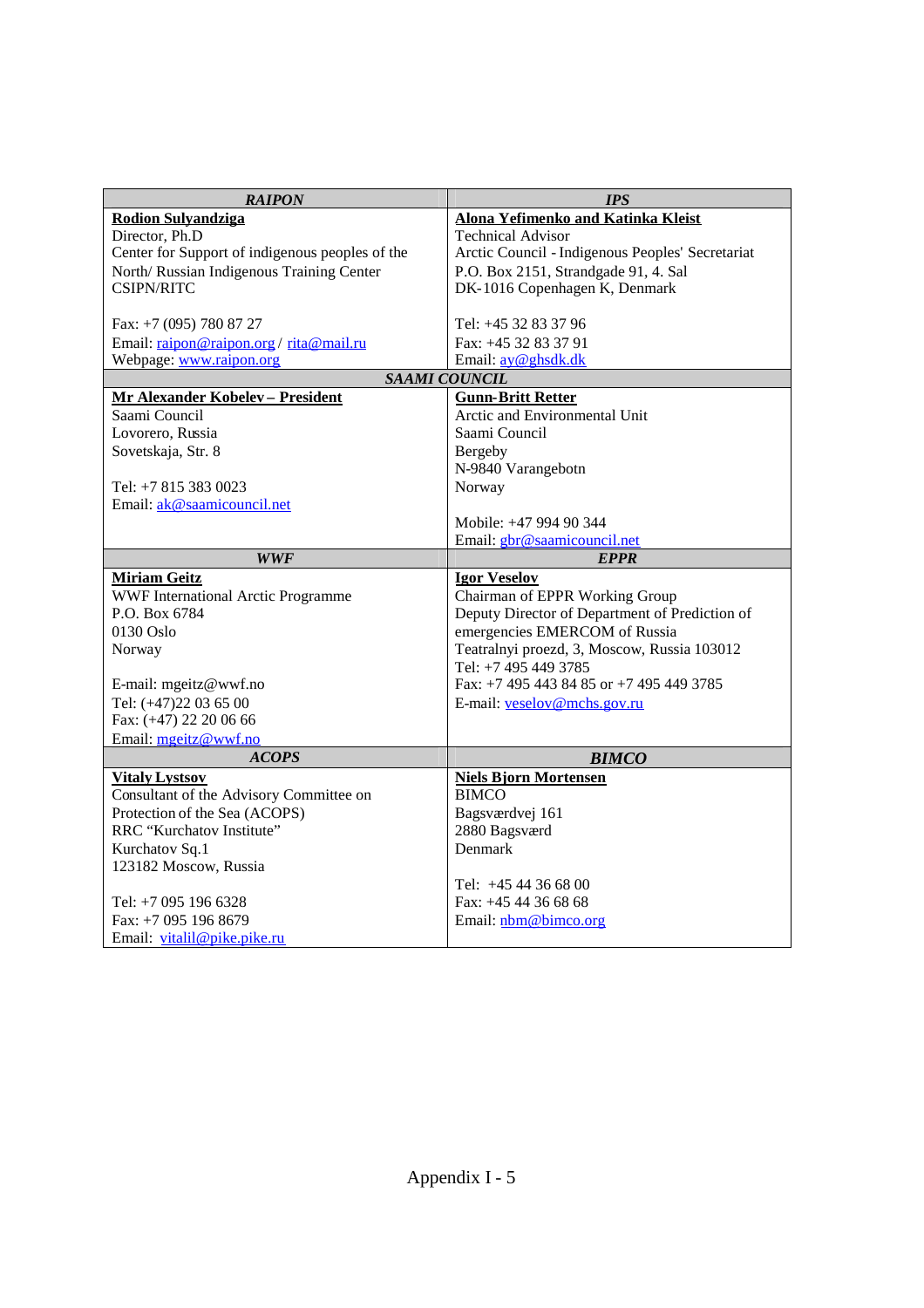| <b>RAIPON</b>                                   | <b>IPS</b>                                            |  |  |  |  |
|-------------------------------------------------|-------------------------------------------------------|--|--|--|--|
| <b>Rodion Sulvandziga</b>                       | Alona Yefimenko and Katinka Kleist                    |  |  |  |  |
| Director, Ph.D                                  | <b>Technical Advisor</b>                              |  |  |  |  |
| Center for Support of indigenous peoples of the | Arctic Council - Indigenous Peoples' Secretariat      |  |  |  |  |
| North/ Russian Indigenous Training Center       | P.O. Box 2151, Strandgade 91, 4. Sal                  |  |  |  |  |
| <b>CSIPN/RITC</b>                               | DK-1016 Copenhagen K, Denmark                         |  |  |  |  |
|                                                 |                                                       |  |  |  |  |
| Fax: +7 (095) 780 87 27                         | Tel: +45 32 83 37 96                                  |  |  |  |  |
| Email: raipon@raipon.org/rita@mail.ru           | Fax: +45 32 83 37 91                                  |  |  |  |  |
| Webpage: www.raipon.org                         | Email: ay@ghsdk.dk                                    |  |  |  |  |
|                                                 | <b>SAAMI COUNCIL</b>                                  |  |  |  |  |
| <b>Mr Alexander Kobelev - President</b>         | <b>Gunn-Britt Retter</b>                              |  |  |  |  |
| Saami Council                                   | Arctic and Environmental Unit                         |  |  |  |  |
| Lovorero, Russia                                | Saami Council                                         |  |  |  |  |
| Sovetskaja, Str. 8                              | <b>Bergeby</b>                                        |  |  |  |  |
|                                                 | N-9840 Varangebotn                                    |  |  |  |  |
| Tel: +7 815 383 0023                            | Norway                                                |  |  |  |  |
| Email: ak@saamicouncil.net                      |                                                       |  |  |  |  |
|                                                 | Mobile: +47 994 90 344<br>Email: gbr@saamicouncil.net |  |  |  |  |
| <b>WWF</b>                                      | <b>EPPR</b>                                           |  |  |  |  |
| <b>Miriam Geitz</b>                             | <b>Igor Veselov</b>                                   |  |  |  |  |
| WWF International Arctic Programme              | Chairman of EPPR Working Group                        |  |  |  |  |
| P.O. Box 6784                                   | Deputy Director of Department of Prediction of        |  |  |  |  |
| 0130 Oslo                                       | emergencies EMERCOM of Russia                         |  |  |  |  |
| Norway                                          | Teatralnyi proezd, 3, Moscow, Russia 103012           |  |  |  |  |
|                                                 | Tel: +7 495 449 3785                                  |  |  |  |  |
| E-mail: mgeitz@wwf.no                           | Fax: +7 495 443 84 85 or +7 495 449 3785              |  |  |  |  |
| Tel: (+47)22 03 65 00                           | E-mail: <u>veselov@mchs.gov.ru</u>                    |  |  |  |  |
| Fax: (+47) 22 20 06 66                          |                                                       |  |  |  |  |
| Email: meeitz@wwf.no                            |                                                       |  |  |  |  |
| <b>ACOPS</b>                                    | <b>BIMCO</b>                                          |  |  |  |  |
| <b>Vitaly Lystsov</b>                           | <b>Niels Bjorn Mortensen</b>                          |  |  |  |  |
| Consultant of the Advisory Committee on         | <b>BIMCO</b>                                          |  |  |  |  |
| Protection of the Sea (ACOPS)                   | Bagsværdvej 161                                       |  |  |  |  |
| RRC "Kurchatov Institute"                       | 2880 Bagsværd                                         |  |  |  |  |
| Kurchatov Sq.1                                  | Denmark                                               |  |  |  |  |
| 123182 Moscow, Russia                           |                                                       |  |  |  |  |
|                                                 | Tel: $+4544366800$                                    |  |  |  |  |
| Tel: +7 095 196 6328                            | Fax: $+4544366868$                                    |  |  |  |  |
| Fax: +7 095 196 8679                            | Email: nbm@bimco.org                                  |  |  |  |  |
| Email: vitalil@pike.pike.ru                     |                                                       |  |  |  |  |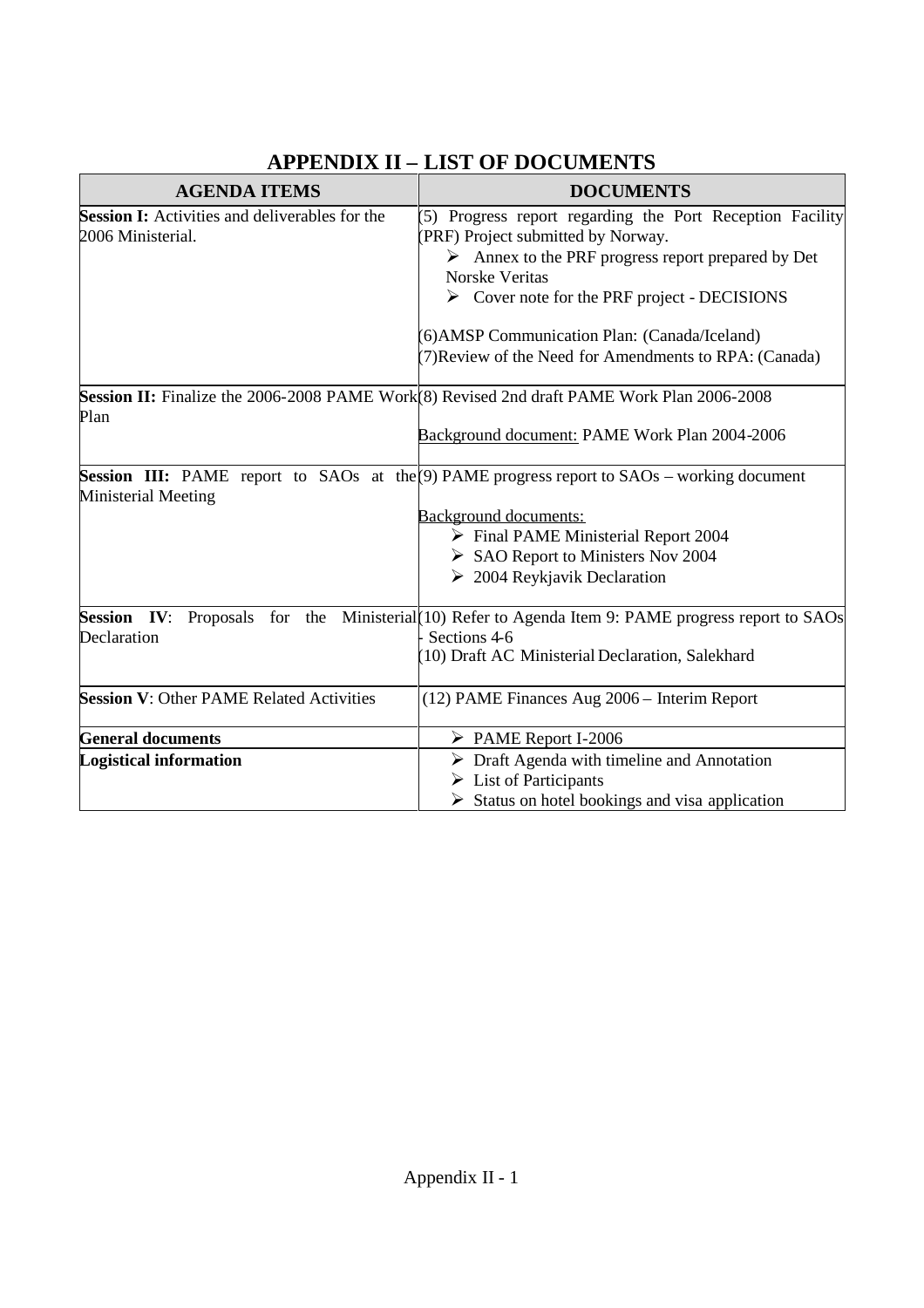| <b>AGENDA ITEMS</b>                                   | <b>DOCUMENTS</b>                                                                                     |  |  |  |  |
|-------------------------------------------------------|------------------------------------------------------------------------------------------------------|--|--|--|--|
| <b>Session I:</b> Activities and deliverables for the | 5) Progress report regarding the Port Reception Facility                                             |  |  |  |  |
| 2006 Ministerial.                                     | (PRF) Project submitted by Norway.                                                                   |  |  |  |  |
|                                                       | $\triangleright$ Annex to the PRF progress report prepared by Det                                    |  |  |  |  |
|                                                       | <b>Norske Veritas</b>                                                                                |  |  |  |  |
|                                                       | $\triangleright$ Cover note for the PRF project - DECISIONS                                          |  |  |  |  |
|                                                       | 6) AMSP Communication Plan: (Canada/Iceland)                                                         |  |  |  |  |
|                                                       | 7) Review of the Need for Amendments to RPA: (Canada)                                                |  |  |  |  |
|                                                       | Session II: Finalize the 2006-2008 PAME Work(8) Revised 2nd draft PAME Work Plan 2006-2008           |  |  |  |  |
| Plan                                                  |                                                                                                      |  |  |  |  |
|                                                       | Background document: PAME Work Plan 2004-2006                                                        |  |  |  |  |
|                                                       | <b>Session III:</b> PAME report to SAOs at the $(9)$ PAME progress report to SAOs – working document |  |  |  |  |
| Ministerial Meeting                                   |                                                                                                      |  |  |  |  |
|                                                       | Background documents:                                                                                |  |  |  |  |
|                                                       | $\triangleright$ Final PAME Ministerial Report 2004                                                  |  |  |  |  |
|                                                       | $\triangleright$ SAO Report to Ministers Nov 2004                                                    |  |  |  |  |
|                                                       | $\geq$ 2004 Reykjavik Declaration                                                                    |  |  |  |  |
| <b>Session IV:</b>                                    | Proposals for the Ministerial (10) Refer to Agenda Item 9: PAME progress report to SAOs              |  |  |  |  |
| Declaration                                           | Sections 4-6                                                                                         |  |  |  |  |
|                                                       | 10) Draft AC Ministerial Declaration, Salekhard                                                      |  |  |  |  |
| <b>Session V: Other PAME Related Activities</b>       | (12) PAME Finances Aug 2006 - Interim Report                                                         |  |  |  |  |
|                                                       |                                                                                                      |  |  |  |  |
| <b>General documents</b>                              | $\triangleright$ PAME Report I-2006                                                                  |  |  |  |  |
| <b>Logistical information</b>                         | $\triangleright$ Draft Agenda with timeline and Annotation                                           |  |  |  |  |
|                                                       | $\triangleright$ List of Participants                                                                |  |  |  |  |
|                                                       | $\triangleright$ Status on hotel bookings and visa application                                       |  |  |  |  |

### **APPENDIX II – LIST OF DOCUMENTS**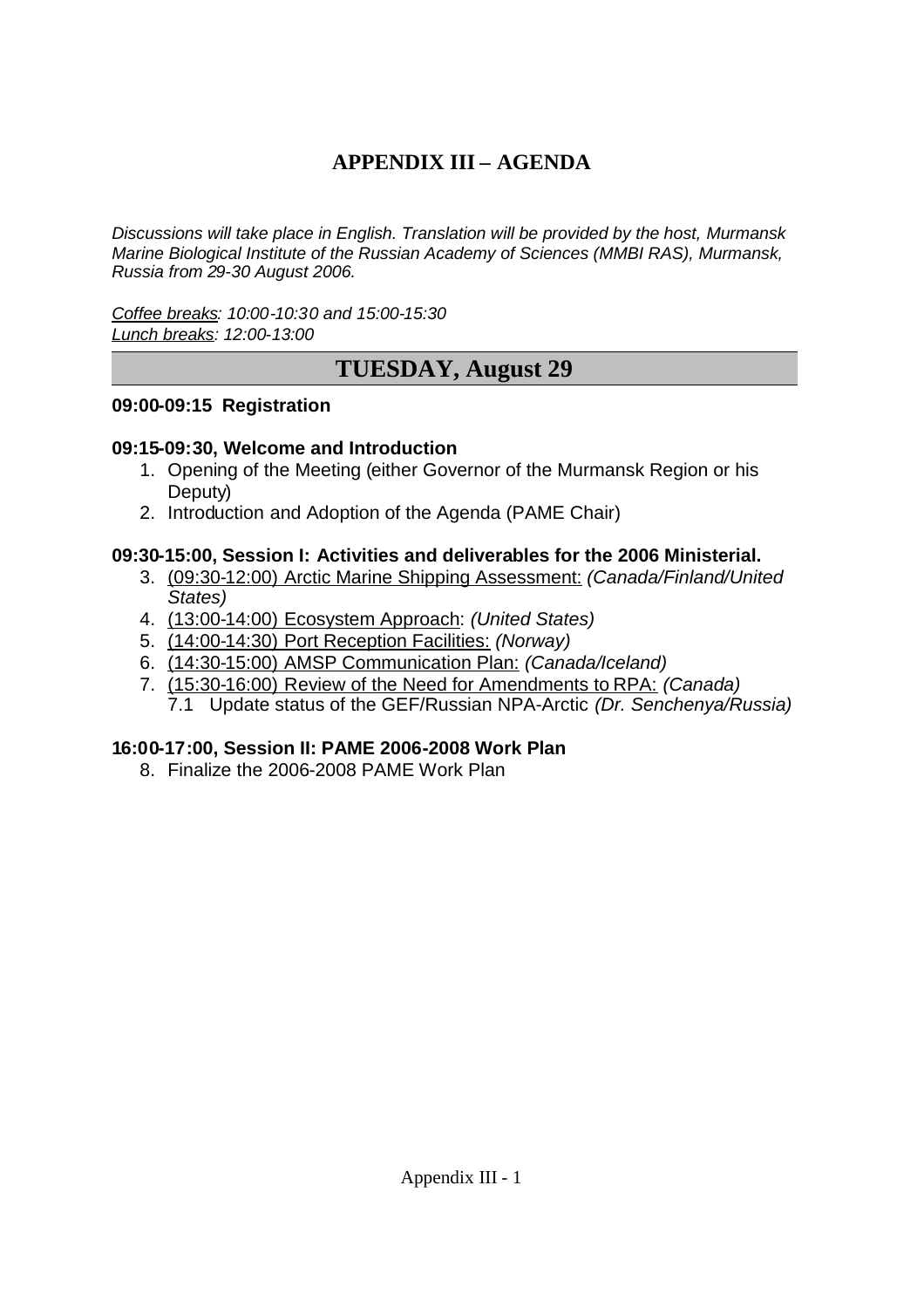# **APPENDIX III – AGENDA**

*Discussions will take place in English. Translation will be provided by the host, Murmansk Marine Biological Institute of the Russian Academy of Sciences (MMBI RAS), Murmansk, Russia from 29-30 August 2006.*

*Coffee breaks: 10:00-10:30 and 15:00-15:30 Lunch breaks: 12:00-13:00*

# **TUESDAY, August 29**

### **09:00-09:15 Registration**

### **09:15-09:30, Welcome and Introduction**

- 1. Opening of the Meeting (either Governor of the Murmansk Region or his Deputy)
- 2. Introduction and Adoption of the Agenda (PAME Chair)

### **09:30-15:00, Session I: Activities and deliverables for the 2006 Ministerial.**

- 3. (09:30-12:00) Arctic Marine Shipping Assessment: *(Canada/Finland/United States)*
- 4. (13:00-14:00) Ecosystem Approach: *(United States)*
- 5. (14:00-14:30) Port Reception Facilities: *(Norway)*
- 6. (14:30-15:00) AMSP Communication Plan: *(Canada/Iceland)*
- 7. (15:30-16:00) Review of the Need for Amendments to RPA: *(Canada)* 7.1 Update status of the GEF/Russian NPA-Arctic *(Dr. Senchenya/Russia)*

### **16:00-17:00, Session II: PAME 2006-2008 Work Plan**

8. Finalize the 2006-2008 PAME Work Plan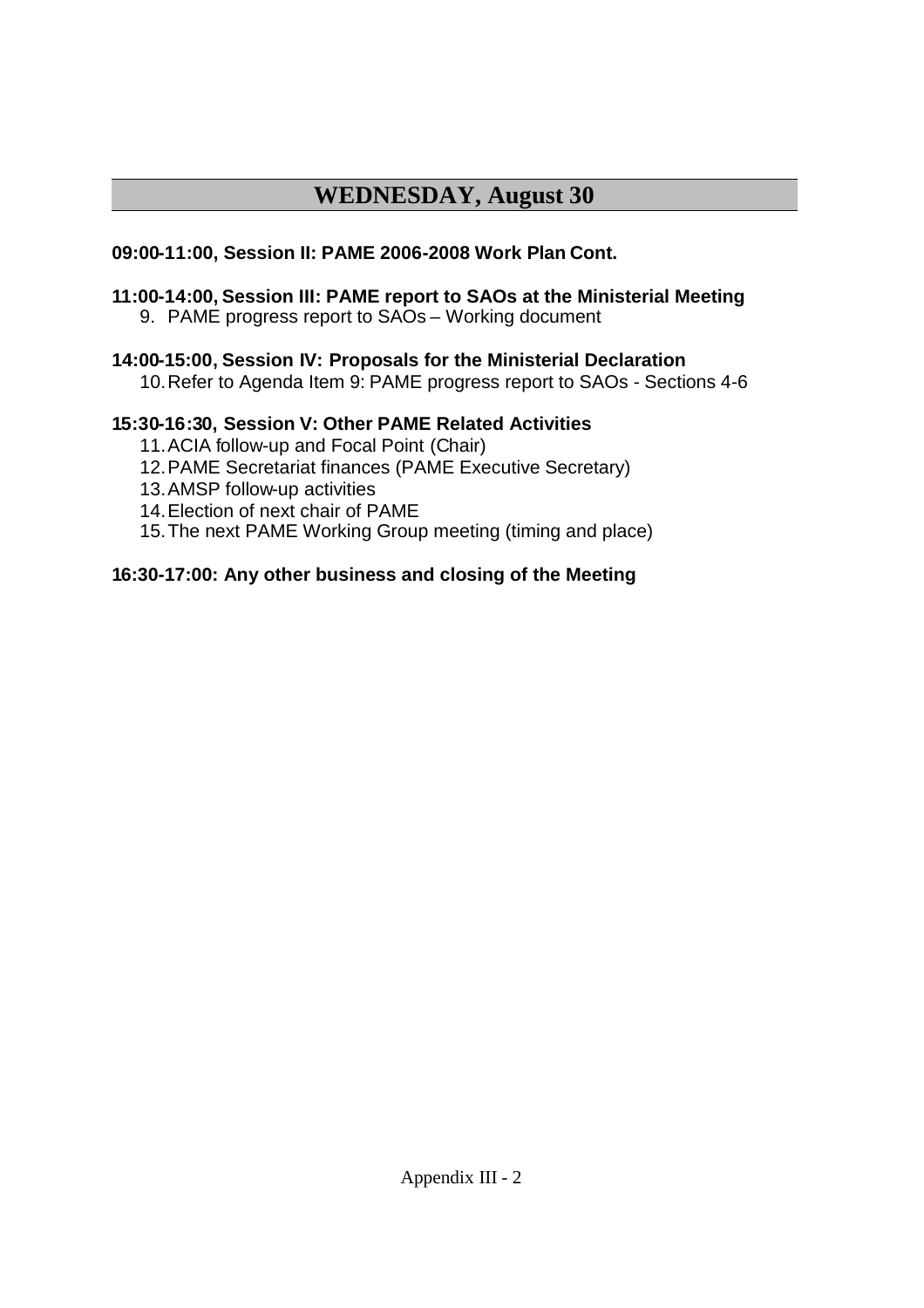# **WEDNESDAY, August 30**

### **09:00-11:00, Session II: PAME 2006-2008 Work Plan Cont.**

# **11:00-14:00, Session III: PAME report to SAOs at the Ministerial Meeting**

9. PAME progress report to SAOs – Working document

### **14:00-15:00, Session IV: Proposals for the Ministerial Declaration**

10.Refer to Agenda Item 9: PAME progress report to SAOs - Sections 4-6

### **15:30-16:30, Session V: Other PAME Related Activities**

- 11.ACIA follow-up and Focal Point (Chair)
- 12.PAME Secretariat finances (PAME Executive Secretary)
- 13.AMSP follow-up activities
- 14.Election of next chair of PAME
- 15.The next PAME Working Group meeting (timing and place)

### **16:30-17:00: Any other business and closing of the Meeting**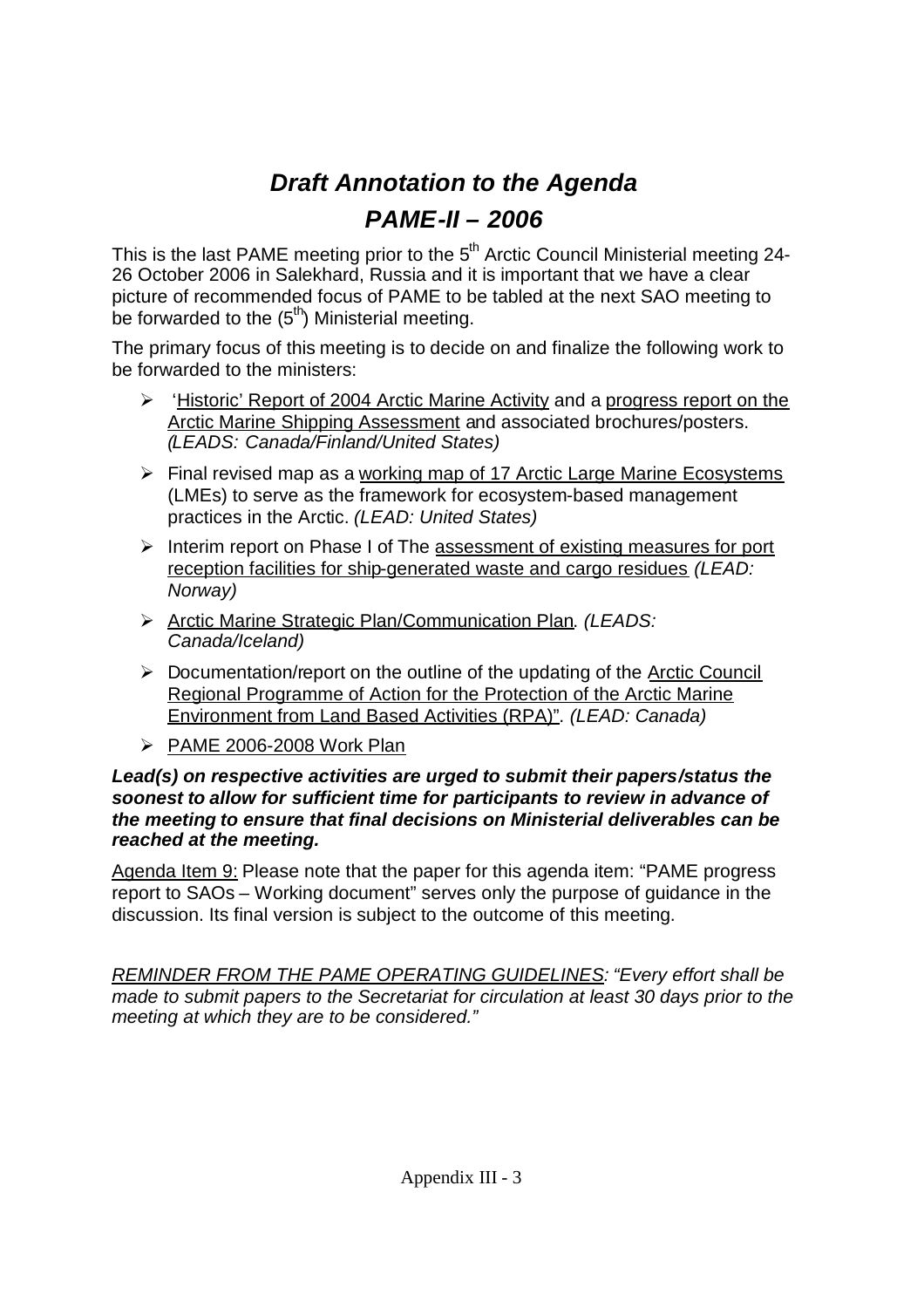# *Draft Annotation to the Agenda PAME-II – 2006*

This is the last PAME meeting prior to the  $5<sup>th</sup>$  Arctic Council Ministerial meeting 24-26 October 2006 in Salekhard, Russia and it is important that we have a clear picture of recommended focus of PAME to be tabled at the next SAO meeting to be forwarded to the  $(5<sup>th</sup>)$  Ministerial meeting.

The primary focus of this meeting is to decide on and finalize the following work to be forwarded to the ministers:

- $\triangleright$  'Historic' Report of 2004 Arctic Marine Activity and a progress report on the Arctic Marine Shipping Assessment and associated brochures/posters. *(LEADS: Canada/Finland/United States)*
- $\triangleright$  Final revised map as a working map of 17 Arctic Large Marine Ecosystems (LMEs) to serve as the framework for ecosystem-based management practices in the Arctic. *(LEAD: United States)*
- $\triangleright$  Interim report on Phase I of The assessment of existing measures for port reception facilities for ship-generated waste and cargo residues *(LEAD: Norway)*
- Arctic Marine Strategic Plan/Communication Plan. *(LEADS: Canada/Iceland)*
- $\triangleright$  Documentation/report on the outline of the updating of the Arctic Council Regional Programme of Action for the Protection of the Arctic Marine Environment from Land Based Activities (RPA)". *(LEAD: Canada)*
- $\triangleright$  PAME 2006-2008 Work Plan

### *Lead(s) on respective activities are urged to submit their papers/status the soonest to allow for sufficient time for participants to review in advance of the meeting to ensure that final decisions on Ministerial deliverables can be reached at the meeting.*

Agenda Item 9: Please note that the paper for this agenda item: "PAME progress report to SAOs – Working document" serves only the purpose of guidance in the discussion. Its final version is subject to the outcome of this meeting.

*REMINDER FROM THE PAME OPERATING GUIDELINES: "Every effort shall be made to submit papers to the Secretariat for circulation at least 30 days prior to the meeting at which they are to be considered."*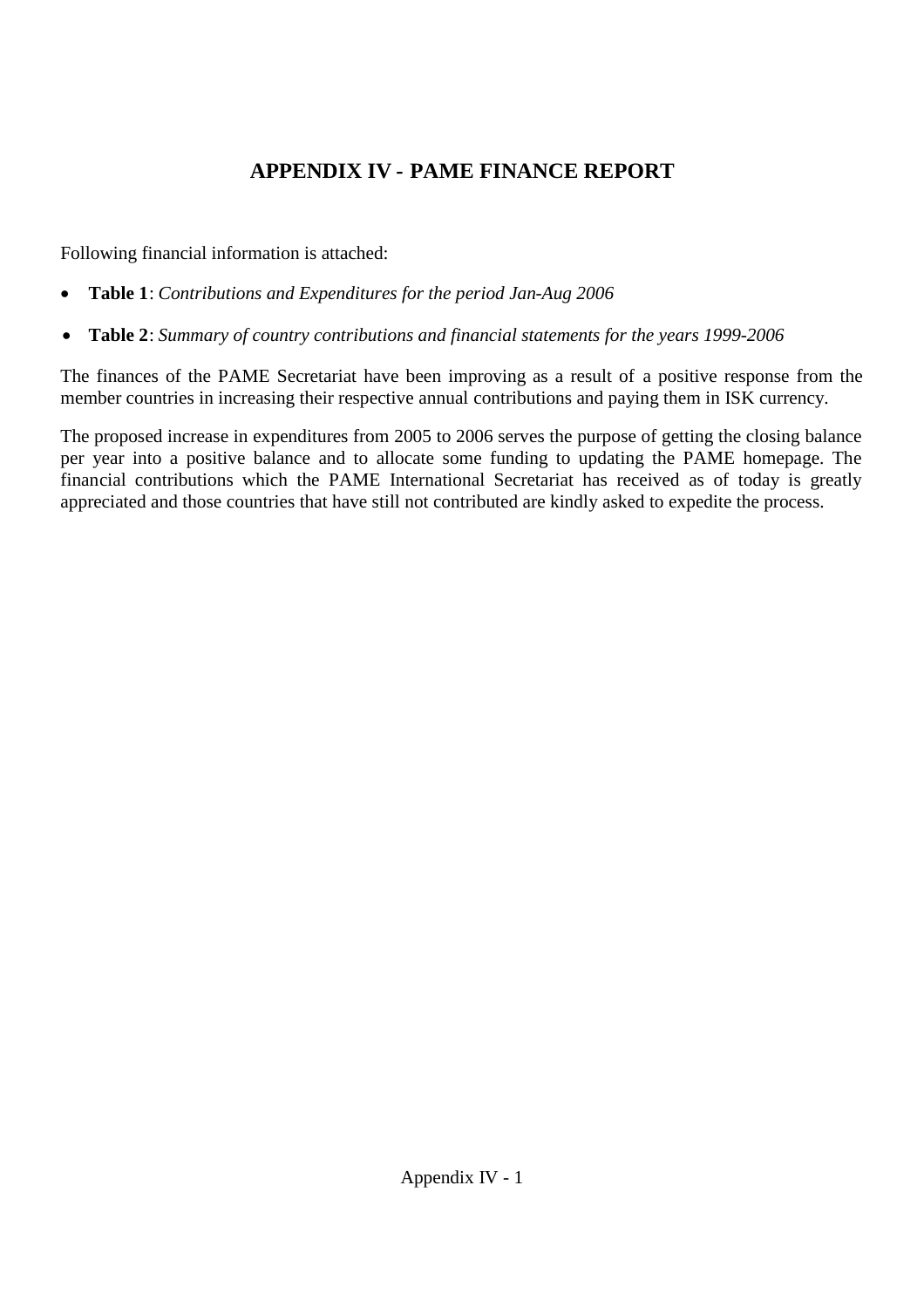# **APPENDIX IV - PAME FINANCE REPORT**

Following financial information is attached:

- **Table 1**: *Contributions and Expenditures for the period Jan-Aug 2006*
- **Table 2**: *Summary of country contributions and financial statements for the years 1999-2006*

The finances of the PAME Secretariat have been improving as a result of a positive response from the member countries in increasing their respective annual contributions and paying them in ISK currency.

The proposed increase in expenditures from 2005 to 2006 serves the purpose of getting the closing balance per year into a positive balance and to allocate some funding to updating the PAME homepage. The financial contributions which the PAME International Secretariat has received as of today is greatly appreciated and those countries that have still not contributed are kindly asked to expedite the process.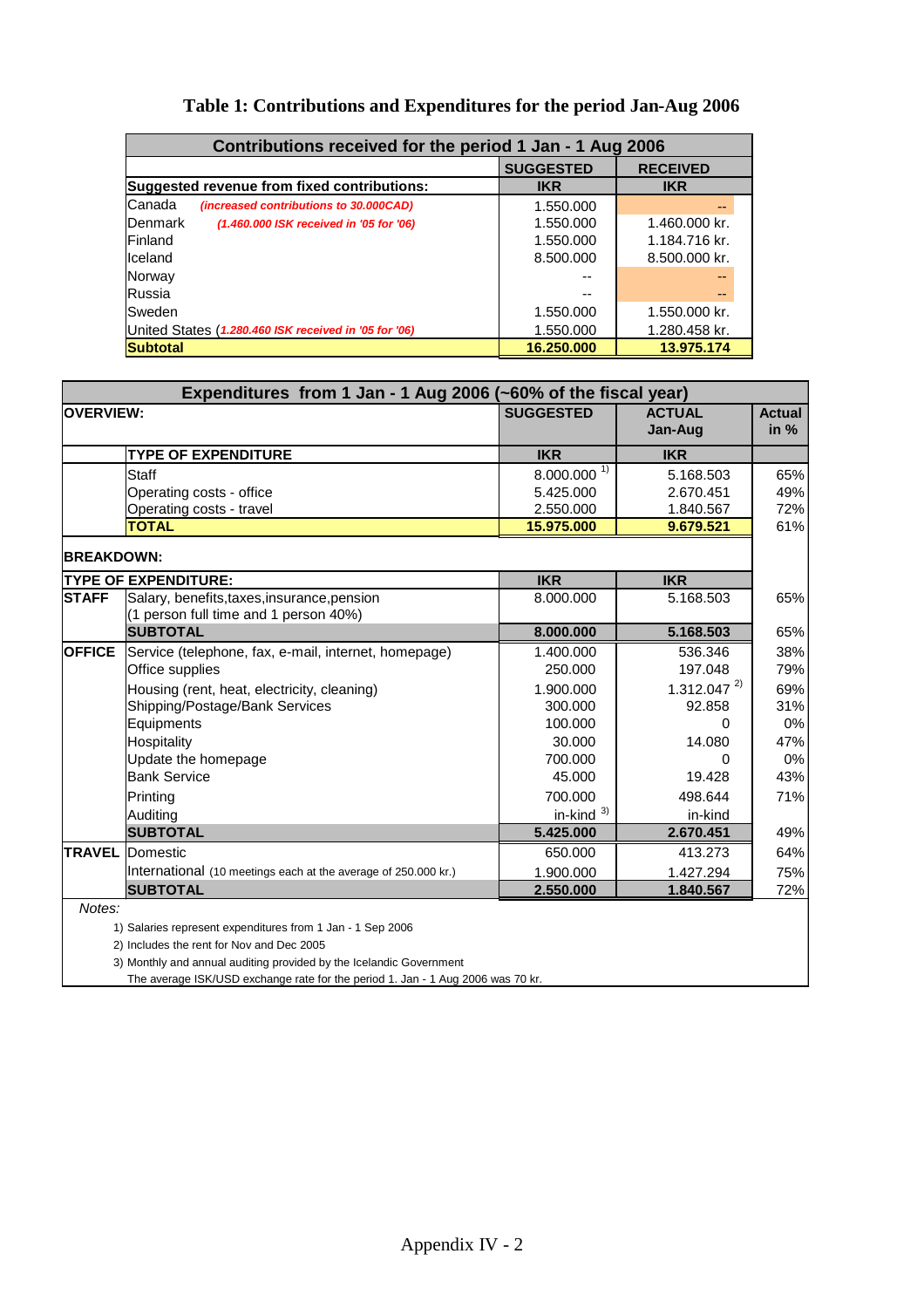| Contributions received for the period 1 Jan - 1 Aug 2006    |                  |                 |  |  |  |
|-------------------------------------------------------------|------------------|-----------------|--|--|--|
|                                                             | <b>SUGGESTED</b> | <b>RECEIVED</b> |  |  |  |
| Suggested revenue from fixed contributions:                 | <b>IKR</b>       | <b>IKR</b>      |  |  |  |
| Canada<br>(increased contributions to 30.000CAD)            | 1.550.000        |                 |  |  |  |
| <b>I</b> Denmark<br>(1.460.000 ISK received in '05 for '06) | 1.550.000        | 1.460.000 kr.   |  |  |  |
| <b>IFinland</b>                                             | 1.550.000        | 1.184.716 kr.   |  |  |  |
| Iceland                                                     | 8.500.000        | 8.500.000 kr.   |  |  |  |
| Norway                                                      | --               |                 |  |  |  |
| <b>Russia</b>                                               |                  |                 |  |  |  |
| <b>I</b> Sweden                                             | 1.550.000        | 1.550.000 kr.   |  |  |  |
| United States (1.280.460 ISK received in '05 for '06)       | 1.550.000        | 1.280.458 kr.   |  |  |  |
| <b>Subtotal</b>                                             | 16.250.000       | 13.975.174      |  |  |  |

### **Table 1: Contributions and Expenditures for the period Jan-Aug 2006**

| Expenditures from 1 Jan - 1 Aug 2006 (~60% of the fiscal year) |                                                                |                  |                          |                         |  |
|----------------------------------------------------------------|----------------------------------------------------------------|------------------|--------------------------|-------------------------|--|
| <b>OVERVIEW:</b>                                               |                                                                | <b>SUGGESTED</b> | <b>ACTUAL</b><br>Jan-Aug | <b>Actual</b><br>in $%$ |  |
|                                                                | <b>TYPE OF EXPENDITURE</b>                                     | <b>IKR</b>       | <b>IKR</b>               |                         |  |
|                                                                | <b>Staff</b>                                                   | $8.000.000^{1}$  | 5.168.503                | 65%                     |  |
|                                                                | Operating costs - office                                       | 5.425.000        | 2.670.451                | 49%                     |  |
|                                                                | Operating costs - travel                                       | 2.550.000        | 1.840.567                | 72%                     |  |
|                                                                | <b>TOTAL</b>                                                   | 15.975.000       | 9.679.521                | 61%                     |  |
| <b>BREAKDOWN:</b>                                              |                                                                |                  |                          |                         |  |
|                                                                | <b>TYPE OF EXPENDITURE:</b>                                    | <b>IKR</b>       | <b>IKR</b>               |                         |  |
| <b>STAFF</b>                                                   | Salary, benefits, taxes, insurance, pension                    | 8.000.000        | 5.168.503                | 65%                     |  |
|                                                                | (1 person full time and 1 person 40%)                          |                  |                          |                         |  |
|                                                                | <b>SUBTOTAL</b>                                                | 8.000.000        | 5.168.503                | 65%                     |  |
| <b>OFFICE</b>                                                  | Service (telephone, fax, e-mail, internet, homepage)           | 1.400.000        | 536.346                  | 38%                     |  |
|                                                                | Office supplies                                                | 250,000          | 197.048                  | 79%                     |  |
|                                                                | Housing (rent, heat, electricity, cleaning)                    | 1.900.000        | $1.312.047^{2}$          | 69%                     |  |
|                                                                | Shipping/Postage/Bank Services                                 | 300.000          | 92.858                   | 31%                     |  |
|                                                                | Equipments                                                     | 100.000          | 0                        | 0%                      |  |
|                                                                | Hospitality                                                    | 30.000           | 14.080                   | 47%                     |  |
|                                                                | Update the homepage                                            | 700.000          | $\Omega$                 | 0%                      |  |
|                                                                | <b>Bank Service</b>                                            | 45.000           | 19.428                   | 43%                     |  |
|                                                                | Printing                                                       | 700.000          | 498.644                  | 71%                     |  |
|                                                                | Auditing                                                       | in-kind $3)$     | in-kind                  |                         |  |
|                                                                | <b>SUBTOTAL</b>                                                | 5.425.000        | 2.670.451                | 49%                     |  |
| <b>TRAVEL</b>                                                  | Domestic                                                       | 650.000          | 413.273                  | 64%                     |  |
|                                                                | International (10 meetings each at the average of 250.000 kr.) | 1.900.000        | 1.427.294                | 75%                     |  |
|                                                                | <b>SUBTOTAL</b>                                                | 2.550.000        | 1.840.567                | 72%                     |  |
| Notes:                                                         |                                                                |                  |                          |                         |  |
|                                                                |                                                                |                  |                          |                         |  |

1) Salaries represent expenditures from 1 Jan - 1 Sep 2006

2) Includes the rent for Nov and Dec 2005

3) Monthly and annual auditing provided by the Icelandic Government

The average ISK/USD exchange rate for the period 1. Jan - 1 Aug 2006 was 70 kr.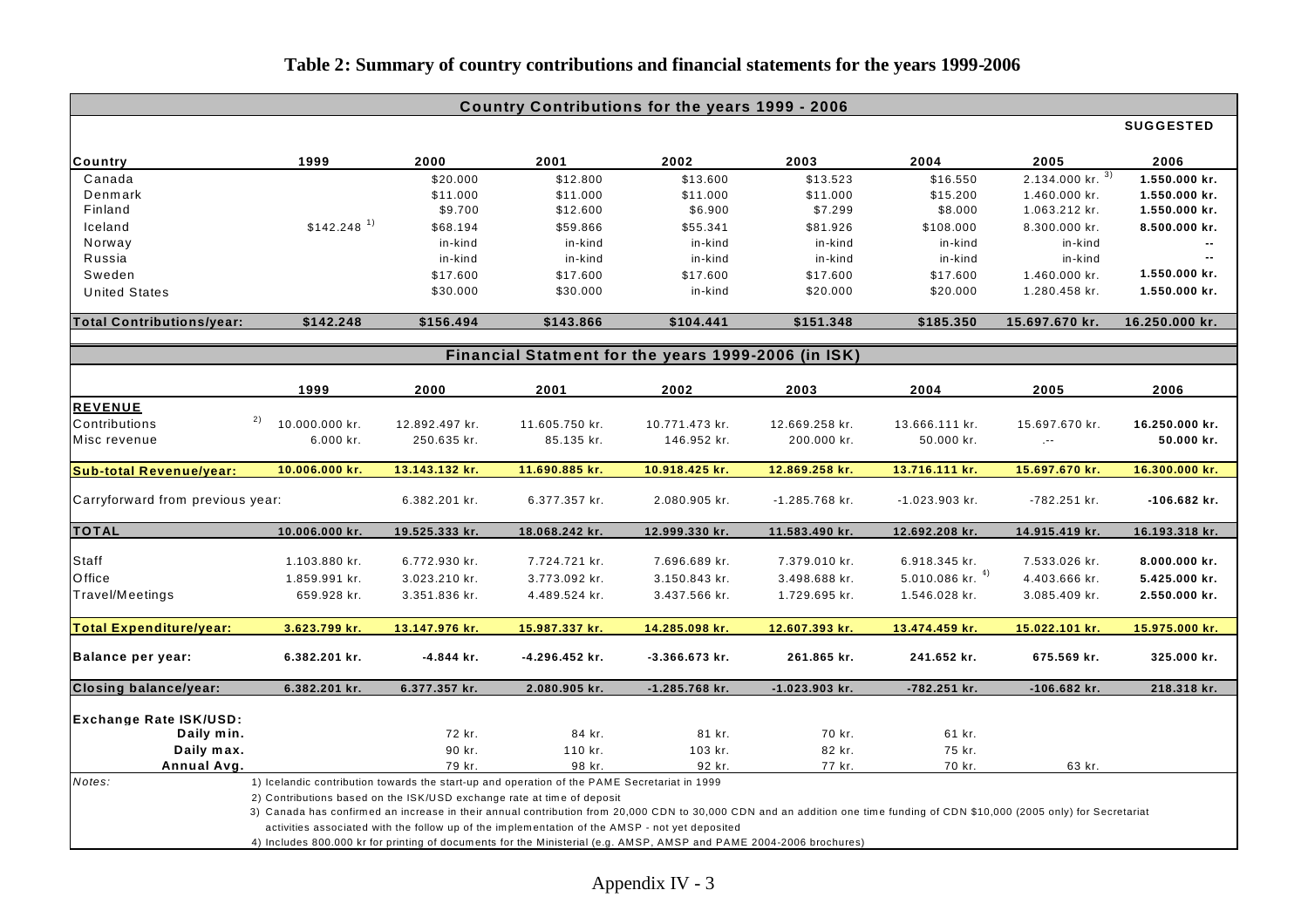| Country Contributions for the years 1999 - 2006 |                                                                                                                                                                             |                |                                                                                                |                |                |                      |                                |                  |
|-------------------------------------------------|-----------------------------------------------------------------------------------------------------------------------------------------------------------------------------|----------------|------------------------------------------------------------------------------------------------|----------------|----------------|----------------------|--------------------------------|------------------|
|                                                 |                                                                                                                                                                             |                |                                                                                                |                |                |                      |                                | <b>SUGGESTED</b> |
| <b>Country</b>                                  | 1999                                                                                                                                                                        | 2000           | 2001                                                                                           | 2002           | 2003           | 2004                 | 2005                           | 2006             |
| Canada                                          |                                                                                                                                                                             | \$20.000       | \$12.800                                                                                       | \$13.600       | \$13.523       | \$16.550             | $2.134.000$ kr. $\overline{3}$ | 1.550.000 kr.    |
| Denmark                                         |                                                                                                                                                                             | \$11.000       | \$11.000                                                                                       | \$11.000       | \$11.000       | \$15.200             | 1.460.000 kr.                  | 1.550.000 kr.    |
| Finland                                         |                                                                                                                                                                             | \$9.700        | \$12.600                                                                                       | \$6.900        | \$7.299        | \$8.000              | 1.063.212 kr.                  | 1.550.000 kr.    |
| Iceland                                         | $$142.248$ <sup>1)</sup>                                                                                                                                                    | \$68.194       | \$59.866                                                                                       | \$55.341       | \$81.926       | \$108.000            | 8.300.000 kr.                  | 8.500.000 kr.    |
| Norway                                          |                                                                                                                                                                             | in-kind        | in-kind                                                                                        | in-kind        | in-kind        | in-kind              | in-kind                        |                  |
| Russia                                          |                                                                                                                                                                             | in-kind        | in-kind                                                                                        | in-kind        | in-kind        | in-kind              | in-kind                        | $\overline{a}$   |
| Sweden                                          |                                                                                                                                                                             | \$17.600       | \$17.600                                                                                       | \$17.600       | \$17.600       | \$17.600             | 1.460.000 kr.                  | 1.550.000 kr.    |
| <b>United States</b>                            |                                                                                                                                                                             | \$30.000       | \$30.000                                                                                       | in-kind        | \$20.000       | \$20.000             | 1.280.458 kr.                  | 1.550.000 kr.    |
| <b>Total Contributions/year:</b>                | \$142.248                                                                                                                                                                   | \$156.494      | \$143.866                                                                                      | \$104.441      | \$151.348      | \$185.350            | 15.697.670 kr.                 | 16.250.000 kr.   |
|                                                 |                                                                                                                                                                             |                | Financial Statment for the years 1999-2006 (in ISK)                                            |                |                |                      |                                |                  |
|                                                 |                                                                                                                                                                             |                |                                                                                                |                |                |                      |                                |                  |
|                                                 | 1999                                                                                                                                                                        | 2000           | 2001                                                                                           | 2002           | 2003           | 2004                 | 2005                           | 2006             |
| <b>REVENUE</b>                                  | 2)                                                                                                                                                                          |                |                                                                                                |                |                |                      |                                |                  |
| Contributions                                   | 10.000.000 kr.                                                                                                                                                              | 12.892.497 kr. | 11.605.750 kr.                                                                                 | 10.771.473 kr. | 12.669.258 kr. | 13.666.111 kr.       | 15.697.670 kr.                 | 16.250.000 kr.   |
| Misc revenue                                    | 6.000 kr.                                                                                                                                                                   | 250.635 kr.    | 85.135 kr.                                                                                     | 146.952 kr.    | 200.000 kr.    | 50.000 kr.           | $\mathcal{L}^{\text{max}}$     | 50.000 kr.       |
| <b>Sub-total Revenue/year:</b>                  | 10.006.000 kr.                                                                                                                                                              | 13.143.132 kr. | 11.690.885 kr.                                                                                 | 10.918.425 kr. | 12.869.258 kr. | 13.716.111 kr.       | 15.697.670 kr.                 | 16.300.000 kr.   |
| Carryforward from previous year:                |                                                                                                                                                                             | 6.382.201 kr.  | 6.377.357 kr.                                                                                  | 2.080.905 kr.  | -1.285.768 kr. | -1.023.903 kr.       | -782.251 kr.                   | -106.682 kr.     |
| <b>TOTAL</b>                                    | 10.006.000 kr.                                                                                                                                                              | 19.525.333 kr. | 18.068.242 kr.                                                                                 | 12.999.330 kr. | 11.583.490 kr. | 12.692.208 kr.       | 14.915.419 kr.                 | 16.193.318 kr.   |
| Staff                                           | 1.103.880 kr.                                                                                                                                                               | 6.772.930 kr.  | 7.724.721 kr.                                                                                  | 7.696.689 kr.  | 7.379.010 kr.  | 6.918.345 kr.        | 7.533.026 kr.                  | 8.000.000 kr.    |
| Office                                          | 1.859.991 kr.                                                                                                                                                               | 3.023.210 kr.  | 3.773.092 kr.                                                                                  | 3.150.843 kr.  | 3.498.688 kr.  | $5.010.086$ kr. $4)$ | 4.403.666 kr.                  | 5.425.000 kr.    |
| Travel/Meetings                                 | 659.928 kr.                                                                                                                                                                 | 3.351.836 kr.  | 4.489.524 kr.                                                                                  | 3.437.566 kr.  | 1.729.695 kr.  | 1.546.028 kr.        | 3.085.409 kr.                  | 2.550.000 kr.    |
| <b>Total Expenditure/year:</b>                  | 3.623.799 kr.                                                                                                                                                               | 13.147.976 kr. | 15.987.337 kr.                                                                                 | 14.285.098 kr. | 12.607.393 kr. | 13.474.459 kr.       | 15.022.101 kr.                 | 15.975.000 kr.   |
| <b>Balance per year:</b>                        | 6.382.201 kr.                                                                                                                                                               | $-4.844$ kr.   | -4.296.452 kr.                                                                                 | -3.366.673 kr. | 261.865 kr.    | 241.652 kr.          | 675.569 kr.                    | 325.000 kr.      |
| <b>Closing balance/year:</b>                    | 6.382.201 kr.                                                                                                                                                               | 6.377.357 kr.  | 2.080.905 kr.                                                                                  | -1.285.768 kr. | -1.023.903 kr. | -782.251 kr.         | -106.682 kr.                   | 218.318 kr.      |
|                                                 |                                                                                                                                                                             |                |                                                                                                |                |                |                      |                                |                  |
| <b>Exchange Rate ISK/USD:</b>                   |                                                                                                                                                                             |                |                                                                                                |                |                |                      |                                |                  |
| Daily min.                                      |                                                                                                                                                                             | 72 kr.         | 84 kr.                                                                                         | 81 kr.         | 70 kr.         | 61 kr.               |                                |                  |
| Daily max.                                      |                                                                                                                                                                             | 90 kr.         | 110 kr.                                                                                        | 103 kr.        | 82 kr.         | 75 kr.               |                                |                  |
| Annual Avg.                                     |                                                                                                                                                                             | 79 kr.         | 98 kr.                                                                                         | 92 kr.         | 77 kr.         | 70 kr.               | 63 kr.                         |                  |
| Notes:                                          | 1) Icelandic contribution towards the start-up and operation of the PAME Secretariat in 1999<br>2) Contributions based on the ISK/USD exchange rate at time of deposit      |                |                                                                                                |                |                |                      |                                |                  |
|                                                 | 3) Canada has confirmed an increase in their annual contribution from 20,000 CDN to 30,000 CDN and an addition one time funding of CDN \$10,000 (2005 only) for Secretariat |                |                                                                                                |                |                |                      |                                |                  |
|                                                 |                                                                                                                                                                             |                | activities associated with the follow up of the implementation of the AMSP - not yet deposited |                |                |                      |                                |                  |
|                                                 | 4) Includes 800.000 kr for printing of documents for the Ministerial (e.g. AMSP, AMSP and PAME 2004-2006 brochures)                                                         |                |                                                                                                |                |                |                      |                                |                  |

# **Table 2: Summary of country contributions and financial statements for the years 1999-2006**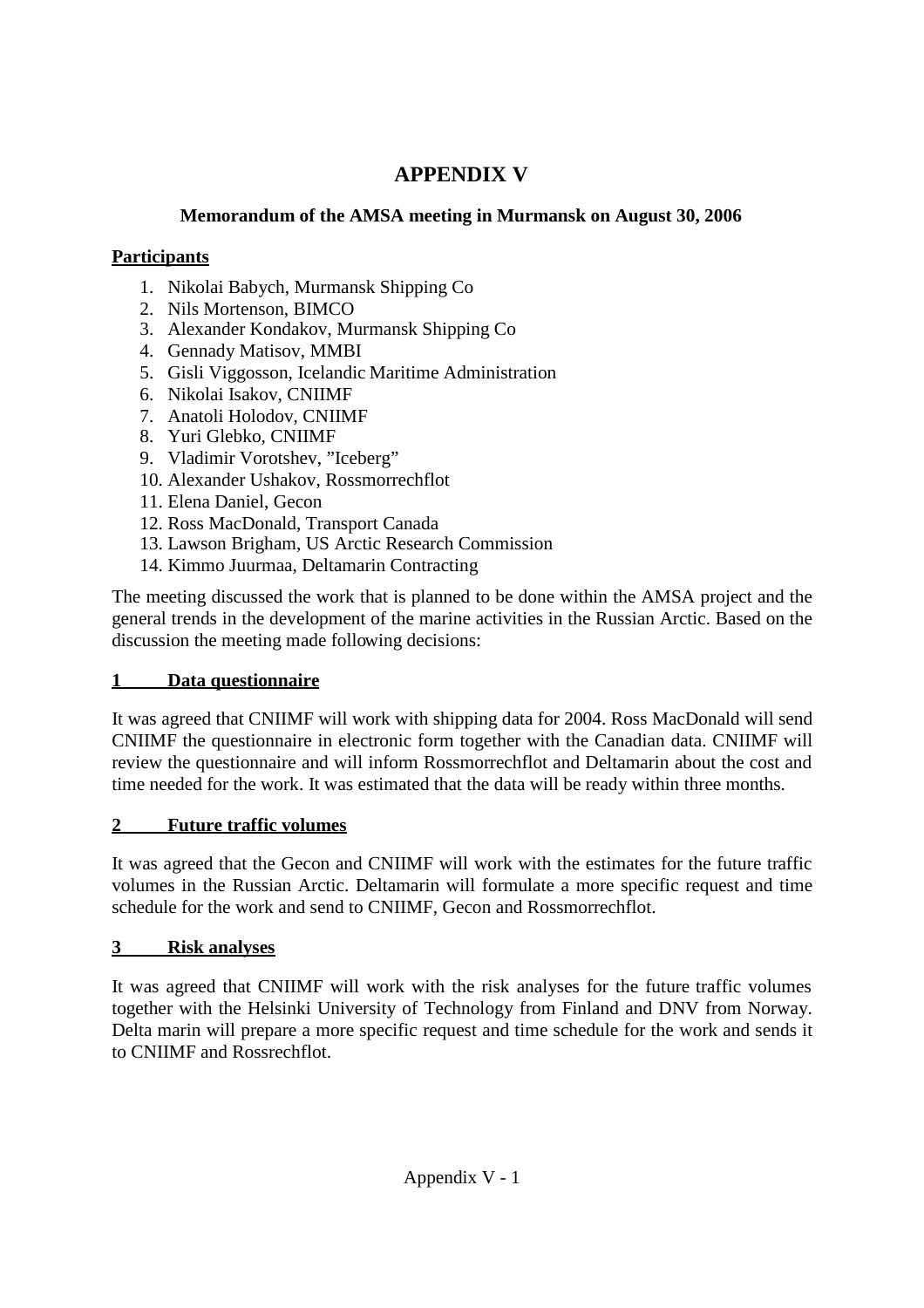# **APPENDIX V**

## **Memorandum of the AMSA meeting in Murmansk on August 30, 2006**

# **Participants**

- 1. Nikolai Babych, Murmansk Shipping Co
- 2. Nils Mortenson, BIMCO
- 3. Alexander Kondakov, Murmansk Shipping Co
- 4. Gennady Matisov, MMBI
- 5. Gisli Viggosson, Icelandic Maritime Administration
- 6. Nikolai Isakov, CNIIMF
- 7. Anatoli Holodov, CNIIMF
- 8. Yuri Glebko, CNIIMF
- 9. Vladimir Vorotshev, "Iceberg"
- 10. Alexander Ushakov, Rossmorrechflot
- 11. Elena Daniel, Gecon
- 12. Ross MacDonald, Transport Canada
- 13. Lawson Brigham, US Arctic Research Commission
- 14. Kimmo Juurmaa, Deltamarin Contracting

The meeting discussed the work that is planned to be done within the AMSA project and the general trends in the development of the marine activities in the Russian Arctic. Based on the discussion the meeting made following decisions:

# **1 Data questionnaire**

It was agreed that CNIIMF will work with shipping data for 2004. Ross MacDonald will send CNIIMF the questionnaire in electronic form together with the Canadian data. CNIIMF will review the questionnaire and will inform Rossmorrechflot and Deltamarin about the cost and time needed for the work. It was estimated that the data will be ready within three months.

# **2 Future traffic volumes**

It was agreed that the Gecon and CNIIMF will work with the estimates for the future traffic volumes in the Russian Arctic. Deltamarin will formulate a more specific request and time schedule for the work and send to CNIIMF, Gecon and Rossmorrechflot.

# **3 Risk analyses**

It was agreed that CNIIMF will work with the risk analyses for the future traffic volumes together with the Helsinki University of Technology from Finland and DNV from Norway. Delta marin will prepare a more specific request and time schedule for the work and sends it to CNIIMF and Rossrechflot.